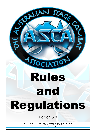# ASSOCIATION Rules and Regulations

SUAGE 20

SPALLA

# Edition 5.0

The Australian Stage Combat Association, Level 1, 25 Unwins Bridge Rd, Sydenham, 2044 Incorportated in NSW in October 2010. ICN 9893998 www.australianstagecombat.org.au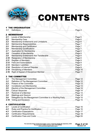<span id="page-1-0"></span>

# CONTENTS

# [1 THE ORGANISATION](#page-3-0)

| <b>1.1</b> Definitions |  |
|------------------------|--|
|                        |  |

|      | <b>2 MEMBERSHIP</b>                                                                                                                                                                                                                                                                         |         |
|------|---------------------------------------------------------------------------------------------------------------------------------------------------------------------------------------------------------------------------------------------------------------------------------------------|---------|
| 2.1  | Levels of Membership <b>Manual According to the Membership Manual According to the Membership Manual According to the Membership Manual According to the Membership Manual According to the Membership Manual According to the M</b>                                                        | Page 5  |
| 2.2  | Membership Fees <b>Membership</b> Fees <b>Membership</b> Fees <b>Membership</b> Fees <b>Membership</b> Fees <b>Membership</b> Fees <b>Membership</b> Fees <b>Membership</b> Fees <b>Membership</b> Fees <b>Membership</b> Fees <b>Membership</b> Fees <b>Membership</b> Fees <b>Members</b> | Page 6  |
| 2.3  |                                                                                                                                                                                                                                                                                             |         |
| 2.4  |                                                                                                                                                                                                                                                                                             | Page 7  |
| 2.5  |                                                                                                                                                                                                                                                                                             | Page 7  |
| 2.6  |                                                                                                                                                                                                                                                                                             | Page 7  |
| 2.7  |                                                                                                                                                                                                                                                                                             | Page 8  |
| 2.8  |                                                                                                                                                                                                                                                                                             | Page 8  |
| 2.9  |                                                                                                                                                                                                                                                                                             | Page 8  |
| 2.10 |                                                                                                                                                                                                                                                                                             | Page 8  |
| 2.11 |                                                                                                                                                                                                                                                                                             | Page 9  |
| 2.12 |                                                                                                                                                                                                                                                                                             |         |
| 2.13 |                                                                                                                                                                                                                                                                                             | Page 9  |
| 2.14 |                                                                                                                                                                                                                                                                                             | Page 9  |
| 2.15 | Disciplining of Members <b>Manual Community</b> Disciplining of Members <b>Manual</b> Community Community Community Community                                                                                                                                                               | Page 10 |
| 2.16 |                                                                                                                                                                                                                                                                                             | Page 11 |

# [3 THE COMMITTEE](#page-11-0)

| 3.1  |                                                                    |  |
|------|--------------------------------------------------------------------|--|
| 3.2  |                                                                    |  |
| 3,3  |                                                                    |  |
| 3.4  |                                                                    |  |
| 3.5  |                                                                    |  |
| 3.6  |                                                                    |  |
| 3.7  |                                                                    |  |
| 3.8  |                                                                    |  |
| 3.9  | Delegation by the Management Committee to a Working Party  Page 15 |  |
| 3.10 |                                                                    |  |

# [4 CERTIFICATION](#page-15-0)

| 4.1 Levels of Certification <b>Election</b> 2008 2014 16 |  |
|----------------------------------------------------------|--|
|                                                          |  |
|                                                          |  |
|                                                          |  |
|                                                          |  |
|                                                          |  |

Page 2 of 34 Version: 5.0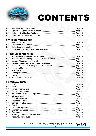

# CONTENTS

| 4.9 |  |  |
|-----|--|--|

# [5 THE MENTOR SYSTEM](#page-25-0)

| 5.2 Obligations of a Mentor <b>Manual Community</b> 26            |  |
|-------------------------------------------------------------------|--|
| 5.3 Obligations of a Mentee <b>Mature 2006</b> Denter and Page 27 |  |
|                                                                   |  |

# 6 HOLDING OF MEETINGS

| Annual General Meetings - Holding Of <b>Manual Annual Contract Page 28</b>                                                                                                                                                           |                                                                                                                      |
|--------------------------------------------------------------------------------------------------------------------------------------------------------------------------------------------------------------------------------------|----------------------------------------------------------------------------------------------------------------------|
|                                                                                                                                                                                                                                      |                                                                                                                      |
|                                                                                                                                                                                                                                      | Page 28                                                                                                              |
|                                                                                                                                                                                                                                      |                                                                                                                      |
| Special Resolution - Calling of and Business At <b>Manual Accord Pacific Accord Pacific Accord Pacific Accord Pacific Accord Pacific Accord Pacific Accord Pacific Accord Pacific Accord Pacific Accord Pacific Accord Pacific A</b> |                                                                                                                      |
|                                                                                                                                                                                                                                      |                                                                                                                      |
| Adjournment Material Material Material Material Material Material Material Page 29                                                                                                                                                   |                                                                                                                      |
| Making Decisions <b>Making Decisions</b> 20 and 20 and 20 and 20 and 20 and 20 and 20 and 20 and 20 and 20 and 20 and 20 and 20 and 20 and 20 and 20 and 20 and 20 and 20 and 20 and 20 and 20 and 20 and 20 and 20 and 20 and 20 a  |                                                                                                                      |
| Voting Manuscript Contract Contract Contract Contract Contract Contract Contract Contract Contract Contract Contract Contract Contract Contract Contract Contract Contract Contract Contract Contract Contract Contract Contra       |                                                                                                                      |
| Appointment of Proxies [19] Appointment of Proxies [19] Appointment of Proxies [19] Appointment of Proxies [19] Appointment of Proxies [19] Appointment of Proxies [19] Appointment of Proxies [19] Appointment of Proxies [19       | Page 30                                                                                                              |
|                                                                                                                                                                                                                                      | General Meetings - Holding Of [[11] Decreed Seneral Meetings - Holding Of [11] Decreed Seneral Meetings - Holding Of |

# 7 MISCELLANEOUS

| 7.1  |                                                                                                                                                                                                                                      | Page 30              |
|------|--------------------------------------------------------------------------------------------------------------------------------------------------------------------------------------------------------------------------------------|----------------------|
| 7.2  |                                                                                                                                                                                                                                      |                      |
| 7.3  |                                                                                                                                                                                                                                      | Page 31              |
| 7.4  |                                                                                                                                                                                                                                      | Page 31              |
| 7.5  |                                                                                                                                                                                                                                      | Page 31              |
| 7.6  |                                                                                                                                                                                                                                      |                      |
| 7.7  |                                                                                                                                                                                                                                      | Page 31              |
| 7.8  |                                                                                                                                                                                                                                      | $\therefore$ Page 31 |
| 7.9  |                                                                                                                                                                                                                                      | Page 31              |
| 7.10 | <b>First Aid 2008. And 2008. The Contract of Aid 2008. And 2008. The Contract of Aid 2008. And 2008. The Contract of Aid 2008. And 2008. The Contract of Aid 2008. And 2008. The Contract of Aid 2008. And 2008. And 2008. And 2</b> | Page 32              |
| 7.11 |                                                                                                                                                                                                                                      | Page 32              |
| 7.12 | Membership Cards <b>Music Advisors</b> Music Music Advisors Music Music Music Music Music Music Music Music Music Music                                                                                                              | Page 33              |
| 7.13 |                                                                                                                                                                                                                                      | Page 33              |
| 7.14 |                                                                                                                                                                                                                                      | Page 33              |
| 7.15 |                                                                                                                                                                                                                                      | Page 33              |
|      |                                                                                                                                                                                                                                      |                      |

The Australian Stage Combat Association, Level 1, 25 Unwins Bridge Rd, Sydenham, 2044<br>Incorportated in NSW in October 2010. ICN 9893998<br>www.australianstagecombat.org.au

Page 3 of 34 Version: 5.0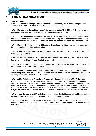<span id="page-3-0"></span>

### 1.1 DEFINITIONS

*1.1.1* **The Australian Stage Combat Association**- Henceforth, The Australian Stage Combat Association will also be referred to as ASCA.

*1.1.2* **Management Committee**- Henceforth referred to as the ASCA MC, or MC, refers to seven individuals elected on a yearly basis by the members to run the association.

*1.1.3* **Associate Member**- Henceforth, the term Associate Member will refer to an individual that has been accepted into the association and has no fees owing. Associate Members are held to all the restrictions and obligations of full Members, however Associate Members hold no voting rights.

*1.1.4* **Member**- Henceforth, the word Member will refer to an individual that has been accepted into the association and has no fees owing.

*1.1.5* **Combatant**- Henceforth the term Combatant will refer to any individual that is currently studying Stage Combat.

*1.1.6* **Certified Combatant**- Henceforth the term Certified Combatant will refer to any individual that is currently certified in Stage Combat, at any level.

*1.1.7* **Certification**- Henceforth the term Certification will refer to the formal process of assessing an individual's ability as a Stage Combatant.

*1.1.8* **Clause & Section**- Henceforth, for the purpose of this document all references to 'clauses' will refer to points within the Associations Incorporation Act 2009, and all references to 'Sections' will refer to portions of the ASCA R&R's document.

*1.1.9* **ASCA Policies and Procedures Framework**- Henceforth the term ASCA Policies and Procedures Frame Work shall refer to the compendium of any and all documents that lay out or describe the details of any form or function within the organisation. This Framework includes; but is not limited to: the ASCA Rules & Regulations (also to be known as the R&R's), the ASCA Code of Conduct (also to be known as the COC), the ASCA Business Procedures (also to be known as the BP), the ASCA Strategic Business Plan (also to be known as the SBP), and all ASCA Curriculum.

*1.1.10* **Stage Combat**- At ASCA we believe the term Stage Combat to refer to the philosophical and theoretical study of martial arts and combat for use in theatrical situations.

*1.1.11* **Theatrical Violence Moment**- Is the practical application of combined knowledge and techniques used to create the illusion of physical conflict, violence and aggression in theatre, film or television.

[Back](#page-1-0) to Top Page 4 of 34 Version: 5.0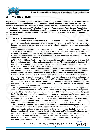<span id="page-4-0"></span>

*Regardless of Membership Level or Certification Ranking within the association, all financial members are held accountable to the ASCA Policies & Procedures Framework, and all entitlements or restrictions listed within these documents. All information contained within these documents remains the rightful and lawful Intellectual Property of The Australian Stage Combat Association regardless of membership status being current, suspended, or revoked, and no individual is permitted to release any of this information outside of the association without the written permission of the residing MC.*

# 2.1 LEVELS OF MEMBERSHIP

*2.1.1* **Associate**- A dues paying member of ASCA who does not hold Combatant certification or any other rank within the association; and may reside anywhere in the world. Associate Level Membership must be renewed each year and does not allow the individual the right to vote on association matters.

*2.1.2* **Combatant**- Membership at this level is open to any individual who is currently studying Stage Combat with any Instructor under the ASCA System, and or, has completed and passed all current requirements under the ASCA system at either the Basic, Intermediate or Advanced Level. Combatant Level Membership needs to be renewed each year and allows the individual one vote on association matters. *(See Section 4)*.

*2.1.3* **Certified Stage Combat Instructor**- Membership at this level is open to any individual that has completed and passed all current requirements under the ASCA system at either the Level 1, Level 2 or Full Instructor Level. Instructor Level Membership needs to be renewed each year and allows the individual one vote on association matters.

*2.1.4* **Certified Fight Director**- A member of ASCA who has completed the Basic, Intermediate and Advanced Levels of certification, has fulfilled and passed all the requirements of the 'Certified Stage Combat Instructor' Certification Level and fulfilled and passed all the requirements of the 'Fight Director' Certification Level. Certification at this level allows the holder to teach the ASCA Basic, Intermediate Advanced, Instructor and Fight Director curriculums, and is valid for as long as the individual remains a Member of ASCA. As per the ASCA *'Code of Conduct'* and *'Strategic Business Plan'*, each ASCA Instructor and Fight Director is required to continue to maintain currency of their skills and knowledge through additional research and training and may be restricted in duties if they do not meet these requirements.

*2.1.5* **Fight Master**- The rank of Fight Master is reserved for members of ASCA in recognition of dedication and service to the art form of Stage Combat and to the organisation of ASCA in general. To be eligible an individual must have held the rank of Fight Director (from any recognised organisation/society) for a minimum of ten years, have a minimum of three references from other recognised industry professionals and receive a majority decision vote by the ASCA MC. The candidate must possess exceptional skill and knowledge in all of the weapon categories within the ASCA system and be seen to be continuously striving to improve and spread the knowledge base of ASCA. All Fight Masters will become Life Members of ASCA and will not need to renew this certification. *2.1.6* **Honorary Member**- An individual whose external qualifications are recognised by ASCA without formal assessment. Honorary Membership to ASCA is granted to an individual in recognition of their services to, and outstanding contribution to, the art form of Stage Combat. Honorary Membership is conferred by a majority vote of the MC and is issued for life. Honorary Members do not carry voting privileges but are to be held to all of the association's Rules & Regulations and may be disciplined in the same manner as any other member under the stipulations set forth in this document. Honorary Membership can be bestowed at any of the above rankings in recognition of an individual's prior achievements with another organisation.

[Back](#page-1-0) to Top

The Australian Stage Combat Association, Level 1, 25 Unwins Bridge Rd, Sydenham, 2044 Incorportated in NSW in October 2010. ICN 9893998 www.australianstagecombat.org.au

Page 5 of 34 Version: 5.0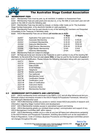<span id="page-5-0"></span>

### 2.2 MEMBERSHIP FEES

2.2.1 Membership Fees must be paid, by all members, in addition to Assessment Fees.

2.2.2 Membership Fees are paid yearly and are due on, or by, the 30th of June each year and will expire on the 30th of June the following year.

*2.2.3* Membership Fees may be paid by cheque, or money order made out to: The Australian Stage Combat Association, or by electronic transfer or cash payments.

2.2.4 Membership Fees may be paid directly to any of the residing MC members and forwarded immediately to the Treasurer or Secretary asap.

*2.2.5* ASCA Membership Fees are as follows *(all monies are in AUD)*;

|         |                                  | 1 Year  | <b>3 Years</b> |
|---------|----------------------------------|---------|----------------|
| 2.2.5.1 | Application Fee (paid once only) | \$30.00 |                |
| 2.2.5.2 | Associate Membership             | \$20.00 | \$55.00        |
| 2.2.5.3 | <b>Combatant Membership</b>      | \$30.00 | \$80.00        |
| 2.2.5.4 | <b>Instructor Membership</b>     | \$40.00 | \$100.00       |
| 2.2.5.5 | <b>Fight Director Membership</b> | \$50.00 | \$130.00       |
| 2.2.5.6 | Fight Master Membership          | \$ N/A  | \$ N/A         |
| 2.2.5.7 | <b>Honorary Membership</b>       | \$ N/A  | \$ N/A         |
|         |                                  |         |                |

*2.2.6* Membership Fees are subject to change.

2.2.7 All Fees are to be sent directly to the Treasurer or paid in person to any of the residing MC Members, by the end of the financial year *(June 30th)*, or may be paid for the duration *(3 years)* of your current level of certification. Please include the following information along with your payment:

- **2.2.7.1** Name<br>**2.2.7.2** Address
	- *2.2.7.2* Address (current)
- *2.2.7.3* Date of birth
- *2.2.7.4* Email Address
- *2.2.7.5* Telephone
- *2.2.7.6* Mobile (optional)
- *2.2.7.7* Fax (optional)
- *2.2.7.8* Membership Level
- 
- 2.2.7.9 **Certification Details**<br>**2.2.7.10** Certification Level *<u>Certification</u>* Level
- 2.2.7.11 Date of Certification
- *2.2.7.12* Instructors Name
- *2.2.7.13* Examiners Name
- *2.2.7.14* Membership Number

# 2.3 MEMBERSHIP ENTITLEMENTS AND LIMITATIONS

2.3.1 ASCA membership binds individuals to the R&R's, COC and all other behavioural and professional conduct documents included in the ASCA Policies & Procedures Framework, relevant to the individual's Membership Level.

2.3.2 ASCA Membership entitles you access to various closed ASCA documents of research and information regarding Stage Combat history and development.

*2.3.3* ASCA Membership includes access to specialised support and training.

*2.3.4* ASCA Membership grants you constant direct contact, communication and support of any ASCA Management Committee staff, within reason.

2.3.5 ASCA Membership entitles you to a vote on any and all topics and referendums pertaining to the ASCA Policies and Procedures Framework, including documents such as the association's: Rules & Regulations, Code of Conduct, Business Procedures and Management Committee personnel changes throughout the year.

The Australian Stage Combat Association, Level 1, 25 Unwins Bridge Rd, Sydenham, 2044 Incorportated in NSW in October 2010. ICN 9893998 www.australianstagecombat.org.au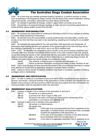<span id="page-6-0"></span>

2.3.6 At no time may any member promote himself or herself as, or perform services or duties such as teaching or choreographing Stage Combat, that are above their current certification ranking, without the specific, and written, permission from their Mentor and the MC.

**2.3.7** No member is permitted to change, modify or adjust ASCA curriculum at any time.

2.3.8 No member is to conduct business meetings or make any kind of business agreements on behalf of ASCA without written consent from the MC.

### 2.4 MEMBERSHIP RESPONSIBILITIES

2.4.1 All members are responsible for notifying the Secretary of ASCA of any changes of address or contact details pertaining to themselves.

2.4.2 All members have the responsibility of acting professionally and responsibly, in public and private, at any time that they may seem to be representing, speaking and or acting for, or on behalf of ASCA.

2.4.3 All members are responsible for the care and safety, both physically and emotionally, of themselves, their training partners and members of the general public at any time that they are either training or performing, for or with ASCA, and or an ASCA certified body.

*2.4.4* 2.4.4 All Members are obligated to inform the MC of any and all medical conditions they currently suffer from, and also immediately inform the MC of any new conditions they may develop at any time during the course of their membership with the association, that may directly affect their ability to ensure their safety, or the safety of others whilst training or performing Stage Combat. All medical information will be kept strictly private and confidential unless:

**2.4.4.1** The students' consent is given to disclose said information, or:<br>**2.4.4.2** Failure to disclose information would put the safety of other me

Failure to disclose information would put the safety of other members at risk. 2.4.5 ASCA shall disclose no more personal information in the circumstances described in subsections *2.4.4.2* and *2.4.4.2* than is reasonably necessary to protect fellow members.

2.4.6 Failure to inform the MC of medical conditions may result in immediate cessation of training privileges, and or, membership.

# 2.5 MEMBERSHIP AND CERTIFICATION

2.5.1 In order to certify as a Combatant at any level within ASCA, all participants are required to become, and remain, a financial member of the association in order to receive and maintain the certification and by doing so will have access to ASCA services and support, and they will therefore be held accountable under the stipulations within this document.

# 2.6 MEMBERSHIP QUALIFICATIONS

2.6.1 A person is eligible to be a member of the association if, and only if:

- 2.6.1.1 the person is a natural person,
- *2.6.1.2* is proved to be 18yrs of age or older, and
- **2.6.1.3** the person has been nominated and approved for membership of the association in accordance with *(Section 2.7)*
- *2.6.2* A person is taken to be a member of the association if:
	- 2.6.2.1 the person is a natural person,
		- *2.6.2.2* the person was:
			- 2.6.2.2.1 in the case of an unincorporated body that is registered as the association- a member of that unincorporated body immediate- ly before the registration of the association, or
				- 2.6.2.2.2 in the case of an association-a member of that other associa- tion immediately before the amalgamation, or
			- **2.6.2.2.3** in the case of a registrable corporation that is registered as an

[Back](#page-1-0) to Top

The Australian Stage Combat Association, Level 1, 25 Unwins Bridge Rd, Sydenham, 2044 Incorportated in NSW in October 2010. ICN 9893998 www.australianstagecombat.org.au

Page 7 of 34 Version: 5.0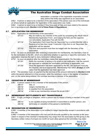<span id="page-7-0"></span>

 association- a member of the registrable corporation immedi ately before that entity was registered as an association

2.6.3 A person is taken to be a member of the association if the person was one of the individuals on whose behalf an application for registration of the association was made.

*2.6.4* A person is taken to be a member if they have paid all fees and dues owed to the association in accordance with *(Section 2.2.6 of these Rules & Regulations)*.

### 2.7 APPLICATION FOR MEMBERSHIP

*2.7.1* Application for membership of the association:

- **2.7.1.1** May be made by any member of the public by completing the official 'ASCA Membership Application Form', and lodging the form and the required, non-refundable, Application Fee with the MC.
	- *2.7.1.2* The Application Form must then be 'Seconded' by a current Member with a Ranking of no less then Level 1 Instructor. If the form is not 'Seconded' the application will be rejected.
- *2.7.1.3* This form and payment must then be lodged with the Secretary of the association.

2.7.2 As soon as practicable after receiving a nomination for membership, the Secretary must refer the nomination to the MC, which is to determine whether to approve or reject the nomination. The association reserves the right to deny nomination without reason.

- 2.7.3 As soon as practical after the committee makes that determination, the Secretary must: **2.7.3.1** Notify the nominee, in writing or by email or oral notification, that the commit-
	- tee approved or rejected the nomination (whichever is applicable), and **2.7.3.2** Once the application has been approved by the MC, the applicant must pay the required, and level appropriate, 'Membership Fee' within *28 days* of notifi- cation that the application has been approved.

*2.7.4* The secretary must, on payment by the nominee of the amount referred to in *(Section 2.2.6)* within the period referred to in that provision, enter the nominee's name in the register of members and, on the name being entered, the nominee becomes a member of the association.

# 2.8 CESSATION OF MEMBERSHIP

2.8.1 A person ceases to be a member of the association if the person:

- *2.8.1.1* dies, or
- 2.8.1.2 resigns membership, or
- *2.8.1.3* is expelled from the association.
- *2.8.1.4* or fails to pay membership renewal fee as per *2.5.1*

# 2.9 MEMBERSHIP ENTITLEMENTS NOT TRANSFERABLE

**2.9.1** A right, privilege or obligation, which a person has by reason of being a member of the association:

- **2.9.1.1** is not capable of being transferred or transmitted to another person, and
- **2.9.1.2** terminates on cessation of the person's membership.

# 2.10 RESIGNATION OF MEMBERSHIP

2.10.1 A member of the association is not entitled to resign membership except in accordance with this rule.

**2.10.2** A member of the association who has paid all amounts payable by the member to the association in respect of the member's membership may resign from the association by first giving to the Secretary written notice of at least one month (or such other period as the committee may deter-

[Back](#page-1-0) to Top

The Australian Stage Combat Association, Level 1, 25 Unwins Bridge Rd, Sydenham, 2044 Incorportated in NSW in October 2010. ICN 9893998 www.australianstagecombat.org.au

Page 8 of 34 Version: 5.0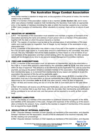

mine) of the member's intention to resign and, on the expiration of the period of notice, the member ceases to be a member.

*2.10.3* If a member of the association ceases to be a member *(under Section 2.8)*, and in every other case where a member ceases to hold membership, the Secretary must make an appropriate entry in the register of members recording the date on which the member ceased to be a member. *2.10.4* Upon cessation of membership, either voluntarily or removal, there will be no refund of paid fees.

### 2.11 REGISTER OF MEMBERS

**2.11.1** The Secretary of the association must establish and maintain a register of members of the association specifying the name and address of each person who is a member of the association together with the date on which the person became a member.

2.11.2 The register of members must be kept at the principal place of administration of the association and must be open for inspection, free of charge, by any member of the association at any reasonable hour.

2.11.3 A member of the association may obtain a copy of any part of the register on payment of a fee of \$1 for each page copied or, if some other amount is determined by the committee, that other amount. The only information that will be made available by these means is a list of names of current members of the association and their current ranking within the association. No other personal details will be divulged at any time to any persons except Management Committee members.

### 2.12 FEES AND SUBSCRIPTIONS

**2.12.1** A member of the association must, on admission to membership, pay to the association a fee of *\$1* or, if some other amount is determined by the committee *(refer to 2.2.6)*, that other amount within 30 days of approval. This amount is to be referred to as the Application Fee; and is a one-time payment, as long as the person remains a constant member of the association. If an individual lets their membership lapse, or, is removed from membership for any reason and wishes to re-join the association the payment of this fee will be applicable again.

*2.12.2* In addition to any amount payable by the member under clause *(2.12.1)*, a member of the association must pay to the association an annual membership fee of *\$2* or, if some other amount is determined by the committee *(refer to 2.2.6)*, that other amount, within 30 days of approval. *2.12.3* All fees and monies owing are due on or by the 30th of June each year for the year following.

*2.12.4* All Members will receive one *(1)* Renewal Notification, and one *(1)* Final Notice notification of due fees. If a member fails to pay their dues, within the due date, their membership and certification will be considered to be null and void, and that person will be required to re-certify at their current level.

### 2.13 MEMBERS' LIABILITIES

2.13.1 The liability of a member of the association to contribute towards the payment of the debts and liabilities of the association or the costs, charges and expenses of the winding up of the association is limited to the amount, if any, unpaid by the member in respect of membership of the association as required by clause *(2.2.6)*.

### 2.14 RESOLUTION OF INTERNAL DISPUTES

2.14.1 Disputes between members (in their capacity as members) of the association, and disputes between members and the association, should at first be attempted to be resolved internally, with the MC residing over proceedings.

**2.14.2** Disputes between members (in their capacity as members) of the association, and disputes

[Back](#page-1-0) to Top

The Australian Stage Combat Association, Level 1, 25 Unwins Bridge Rd, Sydenham, 2044 Incorportated in NSW in October 2010. ICN 9893998 www.australianstagecombat.org.au

Page 9 of 34 Version: 5.0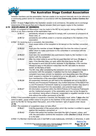<span id="page-9-0"></span>

between members and the association, that are unable to be resolved internally are to be referred to a community justice centre for mediation in accordance with the *Community Justice Centres Act 1983*.

*2.14.3* At least *7 days* before the mediation session is to commence, the parties are to exchange statements of the issues that are in dispute between them and supply copies to the mediator.

### 2.15 DISCIPLINING OF MEMBERS

2.15.1 A complaint of 'Misconduct' may be made to the MC by any person, being a Member of ASCA or not, that a member of the association has:

- 2.15.1.1 **persistently refused or neglected to comply with a provision or provisions of**  these rules, or
- **2.15.1.2** persistently and willfully acted in a manner prejudicial to the interests of the association.
- **2.15.2** On receiving such a complaint, the committee:
	- 2.15.2.1 must cause notice of the complaint to be served on the member concerned, and
	- **2.15.2.2** must give the member at least **14 days** from the time the notice is served within which to make submission to the committee in connection with the complaint, and
	- *2.15.2.3* must take into consideration any submissions made by the member in con- nection with the complaint.
	- *2.15.2.4* After the initial notice is served the accused Member will have *14 days* to reply. If the Member does not reply within this time frame the MC will be required to send one *(1)* further reminder to the Member, if the member refuses to reply to this second notice then the MC will make its decision based on the facts at hand.
	- *2.15.2.5* The MC may, after considering the complaint and any submissions made in connection with the complaint, if satisfied that the facts alleged in the complaint have been proved, by resolution and depending upon the infringe- ment, suspend a member for a period of up to two *(2)* years, or expel them from membership of the association indefinitely.
	- *2.15.2.6* All suspended members are still held to the standards set out in the ASCA Policies and Procedures Framework. Any further breaches of the ASCA Poli- cy and Procedures Framework made by a suspended member may result in immediate dismissal from the association, and potential legal action.
	- *2.15.2.7* All information contained within the ASCA Policies & Procedures Framework are the 'intellectual property' of the association and may not be divulged by any individual, being either a financial, suspended or expelled member at any time without the written permission of the MC.

*2.15.3* If the committee expels or suspends a member, the Secretary must, within *7 days* after the action is taken, cause written notice to be given to the member of the action taken, of the reasons given by the MC for having taken that action, and of the members' right of appeal under clause *(2.16)*.

**2.15.4** The expulsion or suspension does not take effect:

- **2.15.4.1** Until the expiration of the period within which the member is entitled to appeal against the resolution concerned, or
- **2.15.4.2** If within that period the member exercises the right of appeal, unless, and until, the association confirms the resolution under *(Section 2.15.3)*, whichev- er is the later.
- *2.15.5* If a Member intentionally acts in bad faith or acts maliciously, criminally or otherwise, in addi-

[Back](#page-1-0) to Top

The Australian Stage Combat Association, Level 1, 25 Unwins Bridge Rd, Sydenham, 2044 Incorportated in NSW in October 2010. ICN 9893998 www.australianstagecombat.org.au

Page 10 of 34 Version: 5.0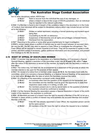<span id="page-10-0"></span>

tion to other disciplinary action, ASCA may:

2.15.5.1 Seek to recover from the individual the cost of any damages, or<br>**2.15.5.2** where a breach is bevond the scope of ASCA's iurisdiction, then

*2.15.5.2* where a breach is beyond the scope of ASCA's jurisdiction, then an individual may be reported to the relevant authorities.

*2.15.6* If a Member is found to be in breach of the conditions listed in this document or in the Code of Conduct, that individual will be subject to disciplinary actions which may include but are not limited to the following:

| 2.15.6.1 | Written or verbal reprimand, including a formal cautioning and incident report |
|----------|--------------------------------------------------------------------------------|
|          | being filed.                                                                   |

- *2.15.6.2* Counselling by the MC on behaviour.
- **2.15.6.3** Suspension of Membership and all rights and privileges contained therein. *2.15.6.4* Dismissal from the association.
- 2.15.7 Reporting to the police or some other governmental body for legal investigation.

*2.15.8* In certain cases where a conflict of interest may be seen to exist between an accused member and the MC, the MC may elect to appoint a Case Officer to investigate the infringement. The Case Officer will be required to remain impartial at all times. They will be expected to speak to both parties, and third parties if necessary, gather additional information and documentation, and present their findings to the MC for decision.

# 2.16 RIGHT OF APPEAL OF DISCIPLINED MEMBER

2.16.1 A member may appeal to the association at a General Meeting, or if necessary a Special General Meeting, against a resolution of the committee under rule *(2.14 and 2.15)*, within *7 days* after the notice of the resolution is served on the member, by lodging with the Secretary a notice to that effect.

**2.16.2** The notice may, but need not, be accompanied by a statement of the grounds on which the member intends to rely upon for the purpose of their appeal.

*2.16.3* On receipt of a notice from a member under clause *(2.16.1)*, the Secretary must notify the committee, which is to convene a General Meeting, or a Special General Meeting, of the association to be held within *28 days* after the date on which the Secretary received the notice.

*2.16.4* At a Meeting of the association convened under clause *(5.3)*:

| 2.16.4.1 | no business other than the question of the appeal is to be transacted, and                                     |
|----------|----------------------------------------------------------------------------------------------------------------|
| 2.16.4.2 | the committee and the member must be given the opportunity to state their                                      |
|          | respective cases orally or in writing, or both, and                                                            |
| 0.10.10  | the concerters are content on the state but district build be the transfer of the office of the building the s |

*2.16.4.3* the members present are to vote by secret ballot on the question of whether the resolution should be confirmed or revoked.

2.16.5 If at the General Meeting the association passes a Special Resolution in favour of the confirmation of the resolution, the resolution is confirmed.

*2.16.6* All Members accused of a breach have the right to request a Member of the MC to act as a mediator in cases where a conflict of interest may exist between the accused Member and another Member of the MC.

**2.16.6.1** If the MC has already appointed a Case Officer, the requested person cannot be the same person.

2.16.6.2 All members of the MC have the right to refuse the request to be a mediator.

[Back](#page-1-0) to Top Page 11 of 34 Version: 5.0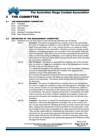<span id="page-11-0"></span>

# HE COMMITTEE

### 3.1 THE MANAGEMENT COMMITTEE

- **3.1.1** President<br>**3.1.2** Vice Presi
- **3.1.2** Vice President<br>**3.1.3** Secretary
- *3.1.3* Secretary
- *3.1.4* Treasurer
- *3.1.5* Standard Committee Member
- *3.1.6* State Representatives

### 3.2 DEFINITION OF THE MANAGEMENT COMMITTEE

- *3.2.1* Definitions and Job Descriptions of the elected MC Members are as follows:
	- *3.2.1.1* **President** This person is appointed by a majority vote by the membership for a term of *1 year* and maintains a vote on the MC. They are the executive head of the association. His, or her, primary function is to create an artistic vision and direction for the association, including curriculum change, growth initiatives, advertising strategies and promotion of the association nationally and internationally. They are to ensure that the organisational structures that make up ASCA are being run effectively, and to attempt financial and profes- sional growth for the association while ensuring that all areas of the operation are serving the membership.
	- *3.2.1.2* **Vice President** This person is appointed by a majority vote by the member ship, for a term of *1 year* and maintains a vote on the Management Commit- tee. His, or her, primary functions are:

 **1.** to assist the President in the general running of the association, undertake any and all reasonable requests by the President with regards to the coherent running of the association, and

 **2.** To oversee the general running of all Working Parties, thereby ensuring they are managing to achieve set tasks and create new incentive and growth ideas for the association. This person works directly with the President and the Secretary.

*3.2.1.3* **Secretary**- This person is appointed by a majority vote by the membership, for a term of **1 year** and maintains a vote of the Management Committee. His, or her, primary function is to be responsible for the maintenance, collection and dissemination of information to the various areas of the association and its membership. This person maintains all records of membership and certifi- cation as well as all minutes of official meetings and changes of policy and ensures that all parties and members are informed of any and all new docu mentation.<br>-3.2.1.4 Treasurer

**Treasurer**- This person is voted in by membership for a term of **1 year** and maintains a vote on the Management Committee. His, or her, primary func- tion is to be responsible for collecting all monies and fees owed to the associ- ation, creating and maintaining a financial portfolio for the association, creat- ing a budget for each area of operation and supervising that financial activity. They are also responsible for maintaining the association's books and finan- cial reports for any government agencies that require that information. This person works directly with the Secretary to ensure all reporting, documenta- tion and fees are forwarded to the appropriate agencies and institutions within the legal time frames.

[Back](#page-1-0) to Top

The Australian Stage Combat Association, Level 1, 25 Unwins Bridge Rd, Sydenham, 2044 Incorportated in NSW in October 2010. ICN 9893998 www.australianstagecombat.org.au

Page 12 of 34 Version: 5.0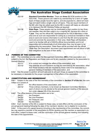

*3.2.1.5* **Standard Committee Member**- There are **three (3)** SCM positions in the ASCA MC. These persons are voted in by membership for a term of **1 year**. Each of these people have the right to, and are expected to, attend all meet- ings and each holds a single vote on all topics. They are equal members of the MC who may be called upon by the MC to assist with tasks as allocated or to represent the MC Working Parties as required.<br>3.2.1.6 State Reps- These people may be nominated to the

**State Reps**- These people may be nominated to their position by any finan- cial member, they are then voted in by a majority MC decision for a term of **1 year**. They are the official MC representatives for ASCA Members in their area and as such are responsible for acting as a conduit for members in their area to send and receive information to and from the MC and to spread the word and promote the association in their area. State Reps will therefore need to be familiar with all of ASCA's official documentation and to act responsibly and professionally at all times when they may be seen to be representing the association. State Reps will be provided with the official 'State Rep Job Description' document upon appointment and will strive to fulfil their obligations to the best of their ability.

# 3.3 POWERS OF THE COMMITTEE

**3.3.1** The committee is to be called the Management Committee *(MC)* of the association and, subject to the Act, the Regulation and these rules and to any resolution passed by the association in General Meeting:<br>3.3.1.1

**3.3.1.1** is to control and manage the affairs of the association, and **3.3.1.2** may exercise all such functions as may be exercised by the may exercise all such functions as may be exercised by the association, other than those functions that are required by these rules to be exercised by a general meeting of members of the association, and

*3.3.2* Has the power to perform all such acts and do all such things as appear to the committee to be necessary or desirable for the proper management of the affairs of the association.

# 3.4 CONSTITUTION AND MEMBERSHIP

*3.4.1* Subject in the case of the first members of the committee to *Section 21 of the Act*, the committee is to consist of:

- **3.4.1.1** the office-bearers of the association, and
- *3.4.1.2* Three ordinary members, to be known as Standard Committee Members, each of whom is to be elected at the annual general meeting of the associa- tion under *clause 3.5* of this document.
- *3.4.2* The office-bearers of the association are to be:
	- *3.4.2.1* the President
	- *3.4.2.2* the Vice-President
	- 3.4.2.3 the Treasurer, and 3.4.2.4 the Secretary
	- the Secretary

*3.4.3* Each member of the MC is subject to these rules, to hold office until the conclusion of the annual general meeting following the date of the members' election; but is eligible for re-election. **3.4.4** In the event of a casual vacancy occurring in the membership of the committee, the committee may appoint a member of the association to fill the vacancy and the member so appointed is to hold office, subject to these rules, until the conclusion of the annual general meeting next following the date of the appointment.

> The Australian Stage Combat Association, Level 1, 25 Unwins Bridge Rd, Sydenham, 2044 Incorportated in NSW in October 2010. ICN 9893998 www.australianstagecombat.org.au

[Back](#page-1-0) to Top Page 13 of 34 Version: 5.0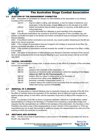<span id="page-13-0"></span>

### 3.5 ELECTION OF THE MANAGEMENT COMMITTEE

*3.5.1* Nomination of candidates for election as office-bearers of the association or as ordinary members of the committee:

| 3.5.1.1 | may be made in writing, and delivered, or sent by means of electronic com-  |
|---------|-----------------------------------------------------------------------------|
|         | munication, to the Secretary at least 24hrs prior to the set date of an AGM |
| 3.5.1.2 | further nominations may be made in person, or by proxy, at the AGM prior to |
|         | voting beginning                                                            |

**3.5.1.3** must be seconded by a Member in good standing of the association.

*3.5.2* If insufficient nominations are received to fill all the vacancies on the committee, the candidates nominated are taken to be elected and further nominations may be received at the Annual General Meeting.

*3.5.3* If insufficient further nominations are received, any vacant position remaining on the MC are taken to be casual vacancies.

*3.5.4* If the number of nominations received is equal to the number of vacancies to be filled, the persons nominated are taken to be elected.

*3.5.5* If the number of nominations received exceeds the number of vacancies to be filled, a ballot is to be held.

*3.5.6* The ballot for the election of office-bearers and Standard Committe members of the committee is to be conducted at the Annual General Meeting in such usual and proper manner as the MC may direct.

# 3.6 CASUAL VACANCIES

**3.6.1** For the purposes of these rules, a casual vacancy in the office of a member of the committee occurs if the member:

| 3.6.1.1 | dies, or                                                                     |
|---------|------------------------------------------------------------------------------|
| 3.6.1.2 | ceases to be a member of the association, or                                 |
| 3.6.1.3 | becomes an insolvent under administration within the meaning of the Corpo-   |
|         | rations Act 2001 for the Commonwealth, or                                    |
| 3.6.1.4 | resigns office by notice in writing given to the Secretary, or               |
| 3.6.1.5 | is removed from office under Section 3.7, or                                 |
| 3.6.1.6 | becomes a mentally incapacitated person, or                                  |
| 3.6.1.7 | is absent without the consent of the committee from all meetings of the com- |
|         | mittee held during a period of 6 months.                                     |

# 3.7 REMOVAL OF A MEMBER

**3.7.1** The association in General Meeting may by resolution remove any member of the MC from the office of member before the expiration of the members' term of office and may by resolution appoint another person to hold office until the expiration of the term of office of the member so removed.

*3.7.2* If a member of the MC to whom a proposed resolution referred to in *(2.14)* relates makes representations in writing to the Secretary or President (not exceeding a reasonable length) and requests that the representation be notified to the members of the association, the Secretary or the President may send a copy of the representations to each member of the association or, if the representations are not so sent, the member is entitled to require the representations be read out at the meeting at which the resolution is considered.

### 3.8 MEETINGS AND QUORUM

*3.8.1* The MC must meet at least *3* times in each period of *12 months* at such place and time as the MC may determine.

[Back](#page-1-0) to Top

The Australian Stage Combat Association, Level 1, 25 Unwins Bridge Rd, Sydenham, 2044 Incorportated in NSW in October 2010. ICN 9893998 www.australianstagecombat.org.au

Page 14 of 34 Version: 5.0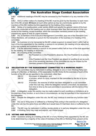<span id="page-14-0"></span>

*3.8.2* Additional meetings of the MC may be convened by the President or by any member of the MC.

*3.8.3* Oral or written notice of a meeting of the MC must be given by the Secretary to each member of the MC at least *48 hours* (or such other period as may be unanimously agreed on by the members of the MC) before the time appointed for the holding of the meeting.

*3.8.4* Notice of a meeting given under section *(5.3)* must specify the general nature of the business to be conducted at the meeting and no other business other than that business is to be conducted at the meeting, except business, which the committee members present at the meeting unanimously agree to treat as urgent business.

*3.8.5* Any *3* members of the Executive Management Committee, plus one of the Standard Committee Members, will constitute a quorum for the transaction of the business of a meeting of the committee.

*3.8.6* No business is to be transacted by the MC unless a quorum is present and if, within half an hour of the time appointed for the meeting, a quorum is not present, the meeting is to be adjourned to the next suitable and available time and place.

**3.8.7** If at the adjourned meeting a quorum is not present within half an hour of the time appointed for the meeting, the meeting is dissolved.

*3.8.8* At a meeting of the committee:

- **3.8.8.1** the President or, in the President's absence, the Vice-President is to preside, **or or**
- **3.8.8.2** if the President and the Vice-President are absent or unwilling to act as such, one of the remaining members of the committee as may be chosen by the members present at the meeting is to preside.

# 3.9 DELEGATION BY THE MANAGEMENT COMMITTEE TO A WORKING PARTY

**3.9.1** The committee may by instrument in writing, delegate to one or more Working Party (consisting of a Member, or Members, of the association the MC thinks fit) the exercises of such of the function of the MC as are specified in the instrument, other than:

| 3.9.1.1 | this power of delegation, and |
|---------|-------------------------------|
|---------|-------------------------------|

- **3.9.1.2** a function, which is a duty, imposed on the committee by the Act or by any other law.
- *3.9.1.3* A function, the exercise of which has been delegated to a sub-committee under this rule may, while the delegation remains unrevoked, be exercised from time to time by the sub-committee in accordance with the terms of the delegation.

*3.9.2* A delegation under this section may be made subject to such conditions or limitations as to the exercise of any function, or as to time or circumstances, as may be specified in the instrument of the delegation.

*3.9.3* Despite the delegation under this rule, the MC may continue to exercise any function delegated.

*3.9.4* Any act or thing done or suffered by a Working Party acting in the exercise of a delegation under this rule has the same force and effect as it would have if it had been done or suffered by the MC.

*3.9.5* The MC may, by instrument in writing, revoke wholly or in part any delegation under this rule.

*3.9.6* A Working Party may meet and adjourn, as it thinks proper.

# 3.10 VOTING AND DECISIONS

**3.10.1** Questions arising at a meeting of the MC or of any Working Party appointed by the MC are to be determined by a majority of the votes of members of the MC or Working Party present at the

[Back](#page-1-0) to Top

The Australian Stage Combat Association, Level 1, 25 Unwins Bridge Rd, Sydenham, 2044 Incorportated in NSW in October 2010. ICN 9893998 www.australianstagecombat.org.au

Page 15 of 34 Version: 5.0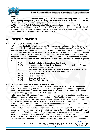<span id="page-15-0"></span>

*3.10.2* Each member present at a meeting of the MC or of any Working Party appointed by the MC (including the person presiding at the meeting) is entitled to one vote, but in the event of an equality of votes on any question, the person presiding may exercise a second or casting vote. *3.10.3* Subject to *Rule 3.6 of the Act*, the MC may act despite any vacancy on the MC. *3.10.4* Any act or thing done or suffered, by the MC or by any Working Party appointed by the MC,

is valid and effectual despite any defect that may afterwards be discovered in the appointment or qualification of any member of the MC or Working Party.

# **CERTIFICATION**

# 4.1 LEVELS OF CERTIFICATION

4.1.1 Stage Combat Certification under the ASCA system exists at seven different levels and is designed to familiarise all participants with the weapons and fighting systems from the 'Five Weapon Families': (those being Short, Medium, Long, Flexible and Dual), in a logical and systematic progression, and eventually, if so chosen, lead individuals to the ability to teach each of them for official certification. The levels and associated weapon systems (the weapons listed below for each level are the preferred and recommended weapon for that level, however it should be noted that there may be alternative weapon choices for all Instructors for certain Units. See details in *Section 4.3*) are as follow;

- *4.1.1.1* **Basic Combatant**: Unarmed and Side Sword
- *4.1.1.2* **Intermediate Combatant**: Knife, Longsword, Eastern Staff, and Rapier & Auxiliaries (Dagger, and Cloak)
- *4.1.1.3* **Advanced Combatant**: Advanced Unarmed/Martial Arts, Katana, Fantasy Polearms, Smallsword, Sword & Shield, and Chain.
- *4.1.1.4* **Level 1 Instructor**
- *4.1.1.5* **Level 2 Instructor**
- *4.1.1.6* **Certified Instructor**
- *4.1.1.7* **Certified Fight Director**

# 4.2 RULES AND PRACTICE FOR CERTIFICATION

*4.2.1* The minimum age for Combatant Certification under the ASCA system is *18 years* old.

4.2.2 To Pass each stage of Combatant Certification the participant must show competency in each of the Performance Criteria Elements for that level of certification. Competency will be at the discretion of the appointed Assessor for that assessment.

*4.2.3* A certified ASCA Instructor/Assessor other than the person who was the principal Instructor of the certification workshop/course must conduct all ASCA Certificate Assessments. In special cases the workshop/course Instructor may examine his or her own students only after an application to do so has been lodged with and approved by the ASCA Management Committee.

*4.2.4* All ASCA Certificate Assessments will be open to members of the general public to witness and observe the performance elements of the assessment.

*4.2.5* All ASCA Certification Assessments, unless the Management Committee has granted special permission, will require a minimum of *4* people to be present. *2* students (or *1* student and 1 ASCA Assistant) to perform the assessment fights, *1* Assessor to oversee and grade the proceedings and the workshop Instructor (or another Certified ASCA Instructor) to act as a witness.

4.2.6 It is possible to test in individual weapon systems. To achieve a full certification at any level, all weapon systems from that level must be completed within one calendar year of attaining the first

[Back](#page-1-0) to Top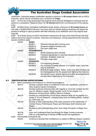<span id="page-16-0"></span>

certification. Individual weapon certification requires a minimum of *40 contact hours* with an ASCA Instructor, which may be completed over a minimum of *5 days*.

*4.2.7* On the day of the assessment the students will be allowed *2-3 hours* of rehearsal time followed by a compulsory 'Weapons Down' for *30 minutes* before the commencement of the assessment.

*4.2.8* All ASCA Actor Combatant Certification levels require a minimum of *40 contact hours* per Unit with a Certified ASCA Instructor. Any hours that are missed during a workshop will require the student to arrange a catch-up lesson with their Instructor at an additional cost to the original workshop fee.

*4.2.9* At all times during an ASCA Certification Assessment all rules of the ASCA Rules and Regulations Document apply to students, Instructors and Assessors. During assessments the following special conditions apply:

| 4.2.9.1 | <b>BASIC:</b>        |                                                                                                                                      |
|---------|----------------------|--------------------------------------------------------------------------------------------------------------------------------------|
|         | 4.2.91.1             | Standard training attire must be worn                                                                                                |
|         | 4.2.9.1.2            | Sneakers/Joggers footwear only                                                                                                       |
|         | 4.2.9.1.3            | Flat open stage area.                                                                                                                |
| 4.2.9.2 | <b>INTERMEDIATE:</b> |                                                                                                                                      |
|         | 4.2.9.2.1            | Some costuming items allowed.                                                                                                        |
|         | 4.2.9.2.2            | Footwear appropriate to costumes allowed but must be<br>enclosed. Sneakers, boots etc.                                               |
|         | 4.2.9.2.3            | Flat open stage area.                                                                                                                |
| 4.2.9.3 | <b>ADVANCED:</b>     |                                                                                                                                      |
|         | 4.2.9.3.1            | Full costuming allowed.                                                                                                              |
|         | 4.2.9.3.2            | Any enclosed footwear allowed, or in certain cases, bare feet<br>may be permitted.                                                   |
|         | 4.2.9.3.3            | Multi-level stage surface. Tables, chairs and other furniture will<br>be choreographed into the assessment fights by the Instructor. |
|         | 4.2.9.3.4            | Soundtrack music, special lighting and other accompaniments<br>are permitted if approved by the Instructor.                          |

# 4.3 CERTIFICATION EXPECTATIONS

*4.3.1* Basic Combatants will endeavour to, and be encouraged to:

- **4.3.1.1** Develop a greater sense of confidence in their own capabilities, and that of other properly trained Combatants.
- *4.3.1.2* Develop particular technical skills with regards to 'Unarmed combat' and the use of a 'Medium-Length, Single-handed, Cut & Thrust weapon' (i.e. Sidesword, Arming Sword, Military Sabre or Cutlass).
- *4.3.1.3* Develop an understanding of how these weapons skills can be applied to a variety of 'Found Weapons', including items such as Walking Sticks, Umbrel- las, Golf clubs, etc.
- *4.3.1.4* Develop a solid understanding of the basic premises of the relationship of Combat Theory, Performance Theory and Technique (both historical and Stage)
- *4.3.1.5* Develop a solid understanding of the 'Over-riding Principles' of Stage Com- bat.
- *4.3.1.6* Learn and understand basic terminology for Stage Combat purposes.
- *4.3.1.7* Gain an understanding of industry WH&S issues and legislations.

**4.3.2** Intermediate Combatants will:<br>**4.3.2.1** Continue to dev

Continue to develop their confidence in a variety of differing Weapon Systems

[Back](#page-1-0) to Top

The Australian Stage Combat Association, Level 1, 25 Unwins Bridge Rd, Sydenham, 2044 Incorportated in NSW in October 2010. ICN 9893998 www.australianstagecombat.org.au

Page 17 of 34 Version: 5.0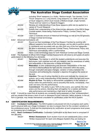<span id="page-17-0"></span>

 including 'Short' weaponry (i.e. Knife), 'Medium-length, Two Handed, Cut & Thrust' weaponry (i.e. Long sword), Long weaponry (i.e. Staff) and the use of 'Dual' weaponry, which must include a Medium-length, single handed, 'Thrust and Cut' sword (i.e. Rapier & Dagger).

- *4.3.2.2* Develop an understanding of how these weapons skills can be applied to a variety of 'Found Weapons'.
- **4.3.2.3** Solidify their understanding of the three primary elements of the ASCA Stage Combat system, those being: Performance Theory, Combat Theory, and Technique.
- *4.3.2.4* Learn a moderate amount of Historical terminology as well as the full glossary of Stage Combat terminology.
- *4.3.3* Advanced Combatants will:
	- *4.3.3.1* Round out their knowledge of the Five Weapon Families by working with different weapons from each of the five groups, and be able to perform quick- ly, confidently and accurately with any item from any of the five categories.
	- *4.3.3.2* Be able to seamlessly incorporate Combat Theory, Performance Theory and Technique automatically within a performance.

*4.3.3.3* Have a solid terminology base for both Historical Combat and Stage Combat. *4.3.4* The Assessor of official ASCA Stage Combat Assessments will observe and grade all participants based on the following five elements:

- *4.3.4.1* **Technique** The manner in which the student understands and executes the techniques, both unarmed and with any weapon, and the awareness of safety and believability in the execution of these techniques.
- *4.3.4.2* **Motivation** A solid understanding and dramatic interpretation of the text, and how it informs/affects the fight and the characters within the scene, through vocal pitch and pace changes, variation of status between the characters and achieving the character's objective throughout the scene at the end.
- *4.3.4.3* **Intention** The use of acting intention to drive and motivate the moves and actions, and a solid understanding of this intention, within the fight and scene.
- *4.3.4.4* **Rhythm & Flow** The ability to demonstrate competency in the variance of tempo within the performance, and to smoothly link words, movements, char- acter and story into the performance.
- *4.3.4.5* **Commitment** The ability to give 100% to the scene, your partner, the char acters and the actions, blending them all together for a realistic and believ- able performance and maintaining a high level of safety throughout.

4.3.5 It should be noted that all students are constantly being assessed on their 'professionalism', and any student that shows a lack of such or disrespect to their instructor, fellow students, or the art form in general, may render themselves unsuitable for certification under the ASCA System.

# 4.4 CERTIFICATION REQUIREMENTS

*4.4.1* **Combatant Certification**- The ASCA system is structured not only to progress each participant's physical skills as a Stage Combatant, but also to prepare them for the constant variations of the professional arena. To that end the requirements for certification at each progressive level poses an increasing set of challenges.

*4.4.2* **Basic Combatant Certification**- Combatant Certification at the Basic level is comprised of two *(2)* parts;

*4.4.2.1* **Written Assessment**- Each student must sit and satisfactorily pass a short 'Written Assessment' for each Unit (Weapon System) they are testing for 

[Back](#page-1-0) to Top

Page 18 of 34 Version: 5.0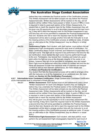

 before they may undertake the Practical section of the Certification process. This Written Assessment will be taken at least one day before the Practical Assessment date. Written Assessments will be marked on the day, and all students will be notified if they have passed or failed. A score of *70%* or more is required in order to pass each section of the Written Assessments. If a student fails to reach the required mark for the Written Assessment they will be given one *(1)* opportunity to re-sit a secondary assessment the next morn- ing. If they fail to reach the required mark for the Written Assessment a sec- ond time they will not be permitted to undertake the Practical Assessment for that Unit. Students who fail to reach the required mark for the Written Assessment will be able to arrange another time with the Instructor to re-sit the missing portions of the Certification process at additional costs. (If neces- sary an alternative to the 'Written Assessment' may be offered in a verbal form.)

*4.4.2.2* **Performance Fights**- Each student, with their partner, must perform the set Assessment Fight choreography required for each level of certification. For Basic Certification these include Unarmed, and Sidesword incorporated into one fight scene. This fight will be required to be performed in full twice for Ba- sic Certification. Once started this fight scene must be performed through to the end. Participants may recover from mistakes and restart at a given point within the fight as long as the dramatic integrity of the scene is not broken, however they will not be permitted to completely stop and restart. Each Fight must be performed within the context of a written text and the stu- dents are assessed on both their technical skills of unarmed and weapon combat as well as their dramatic performance, (for more details see 

**4.2 Rules and Practice for Certification**).<br>**4.4.2.3** Any student that fails the Assessment proce Any student that fails the Assessment process will be able to arrange a time with the Instructor to re-sit the Assessment at an additional cost, (for more details see *Section 4.6 Re-Certification Procedures*).

*4.4.3* **Intermediate Actor Combatant Certification**- Stage Combat Actor Combatant Certification at the Intermediate level is comprised of three *(3)* parts;

*4.4.3.1* **Written Assessment**- Each student must sit and satisfactorily pass a short 'Written Assessment' for each Unit (Weapon System) they are testing for before they may undertake the Practical section of the Certification process. This Written Assessment will be taken at least one day before the Practical Assessment date. Written Assessments will be marked on the day, and all students will be notified if they have passed or failed. A score of *70%* or more is required in order to pass each section of the Written Assessments. If a student fails to reach the required mark for the Written Assessment they will be given one *(1)* opportunity to re-sit a secondary assessment the next morning. If they fail to reach the required mark for the Written Assesment a second time they will not be permitted to undertake the Practical Assess ment for that Unit. Students who fail to reach the required mark for the Written Assessment will be able to arrange another time with the Instructor to re-sit the missing portions of the Certification process at additional costs. (If neces sary an alternative to the 'Written Assessment' may be offered in a verbal form.)

*4.4.3.2* **Performance Fight Assessment**- Each student, with their partner, must perform the set Assessment Fight choreography required for each level of

[Back](#page-1-0) to Top

Page 19 of 34 Version: 5.0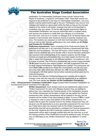

 certification. For Intermediate Certification these include Tactical Knife, Rapier & Auxiliaries, Longsword, and Eastern Staff. These fight scenes are required to be performed in full twice for Intermediate Certification, and once started must be performed through to the end. Participants may recover from mistakes and restart at a given point within the fight as long as the dramatic integrity of the scene is not broken, however they will not be permitted to completely stop and restart. Of the four *(4)* required Assessment fights for Intermediate Certification, two must be performed within a scripted scene, one requires the students to create their own dialogue of no more than two lines each, and one is to contain no dialogue at all. All scenes require the students to demonstrate clear theatrical choices to express character and story. The students are assessed on both their technical skills in these Sys- tems as well as their dramatic performance (for more details see *4.2 Rules and Practice for Certification*).

*4.4.3.3* **Proficiency Assessment**- Upon completion of the Performance Fights, all participants will take part in an Impromptu Proficiency Assessment with their Instructor and the Assessor. This test will involve a short section of choreog- raphy that the students will not be familiar with to ensure that each participant has acquired a full understanding of the weapon systems, and the Stage Combat principals and philosophies they have been taught and that they are able to adapt their knowledge to suit different situations, circumstances, and a change of partner. The Proficiency Assessment will consist of approximately *15-20* paired moves in one weapon system, and with a participant that was not their original Performance Fight Assessment partner. The participants will have fifteen *(15)* minutes to be shown the choreography and ask any ques- tions they wish, after which they will have ten *(10)* minutes to rehearse the choreography with their partner but no further assistance will be given by the Instructor/Assessor.

*4.4.3.4* Any student that fails the Proficiency Assessment process will be able to arrange a time with the Instructor to re-sit the Assessment at an additional cost, (for more details see *Section 4.6 Re-Certification Procedures*).

*4.4.4* **Advanced Actor Combatant Certification**- Stage Combat Actor Combatant Certification at the Advanced level is comprised of five *(5)* parts;

*4.4.4.1* **Written Assessment**- Each student must sit and satisfactorily pass a short 'Written Assessment' for each Unit (Weapon System) they are testing for before they may undertake the Practical section of the Certification process. This Written Assessment will be taken at least one day before the Practical Assessment date. Written Assessments will be marked on the day, and all students will be notified if they have passed or failed. A score of *70%* or more is required in order to pass each section of the Written Assessments. If a student fails to reach the required mark for the Written Assessment they will be given one *(1)* opportunity to re-sit a secondary assessment the next morn- ing. If they fail to reach the required mark for the Written Assessment a second time they will not be permitted to undertake the Practical Assessment for that Unit. Students who fail to reach the required mark for the Written Assessment will be able to arrange another time with the Instructor to re-sit the missing portions of the Certification process at additional costs. (If neces- sary an alternative to the 'Written Assessment' may be offered in a verbal form.)

The Australian Stage Combat Association, Level 1, 25 Unwins Bridge Rd, Sydenham, 2044 Incorportated in NSW in October 2010. ICN 9893998 www.australianstagecombat.org.au

[Back](#page-1-0) to Top

Page 20 of 34 Version: 5.0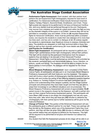

*4.4.4.1* **Performance Fights Assessment**- Each student, with their partner must perform the set Assessment Fight choreography required for each level of certification. For Advanced Certification these include Advanced Unarmed, Katana, Fantasy Polearm, Sword & Shield, Smallsword, and Chain. These fight scenes are required to be performed in full twice at Advanced Certifica- tion, and once started must be performed through to the end. Participants may recover from mistakes and restart at a given point within the fight as long as the dramatic integrity of the scene is not broken, however they will not be permitted to completely stop and restart. Of the six *(6)* required Assessment fights for Advanced Certification, three must be performed within a scripted scene, one requires the students to create their own dialogue of no more than two lines each, and two are to contain no dialogue at all. All scenes require the students to demonstrate clear theatrical choices to express character and story. The students are assessed on both their technical skills in these Sys- tems as well as their dramatic performance (for more details see *4.2 Rules and Practice for Certification*).

*4.4.4.2* **Ghost Fight Assessment**- All participants will be required to perform one 'Ghost Fight' (performance of their fight choreography without their partner). This fight will be chosen by the participant themselves from the weapon systems they are testing in as one part of their Advanced Practical Assessment. Ghost Fights must be performed as committed and controlled as the students' partnered fights and demonstrate balance, focus, intention, re- actions, vocals and timing. The Assessor should be able to imagine the stu- dent's partner in front of them. No dialogue will be required for the Ghost Fights.

*4.4.4.3 Mixed Weapons Proficiency Assessment*- Upon completion of the Perfor mance Fights, all participants will take part in an Impromptu Mixed Weapons Proficiency Assessment with their Instructor and the Assessor. This assess- ment will involve a short section of choreography that the students will not be familiar with and involve the paring of two differing weapons systems together (e.g. Katana vs. Fantasy Polearm) to ensure that each participant has ac- quired a full understanding of the weapon systems, and the Stage Combat principals and philosophies they have been taught and that they are able to adapt their knowledge to suit different situations and circumstances. The Mixed Weapons Proficiency Assessment will consist of approximately *15-20* paired moves in the weapons chosen by the Assessor, and with a partner who was not their original Performance Assessment partner. The participants will have fifteen *(15)* minutes to be shown the choreography and ask any ques- tions they wish, after which they will have ten *(10)* minutes to rehearse the choreography with their partner but no further assistance will be given by the Instructor/Assessor.

*4.4.4.4* **Change of Partner Test**- This portion of the Advanced Assessment will see the participants given a different partner for one fight. These new pairings will then be told by the Assessor which one of the Assessment Fights they must perform, and they will then be given thirty *(30)* minutes to rehearse with their new partner before they are required to perform for the Assessor. This fight will be required to be performed at full pace and intention but without any dialogue.

**4.4.4.5** Any student that fails the Assessment process at any stage will be able to ar-

[Back](#page-1-0) to Top

Page 21 of 34 Version: 5.0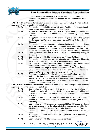

 range a time with the Instructor to re-sit that portion of the Assessment at an additional cost, (for more details see *Section 4.6 Re-Certification Procedures*).

*4.4.5* **Level 1 Instructor Certification**- Certification as an ASCA Level 1 Stage Combat Instructor requires the following conditions to be fulfilled:

| 4.4.5.1 | Each applicant must hold a current Advanced Certificate, (or accepted equiv-<br>alent) and be an ASCA Member with no dues owing. |
|---------|----------------------------------------------------------------------------------------------------------------------------------|
| 4.4.5.2 | All applicants for Level 1 Instructor Certification must present, in writing, and                                                |
|         |                                                                                                                                  |
|         | have accepted, their request for consideration for this ranking to the residing                                                  |
|         | ASCA MC.                                                                                                                         |
| 4.4.5.3 | All applicants for ASCA Instructor Certification require a Mentor. The applicant                                                 |
|         | must choose their Mentor and be accepted by said Mentor (refer to the                                                            |
|         | Clause 5)                                                                                                                        |
| 4.4.5.4 | Each applicant must then amass a minimum of 25hrs of Probationary Teach-                                                         |
|         | ing of each weapon within the Basic Curriculum under an ASCA Certified                                                           |
|         |                                                                                                                                  |
|         | Instructor or Fight Director. This may be done in a manner of ways including                                                     |
|         | but not limited to assisting with Casual Classes, Masterclasses, or Workshops.                                                   |
| 4.4.5.5 | Each applicant must be able to prove one (1) year full time Acting training, or                                                  |
|         | the equivalent.                                                                                                                  |
| 4.4.5.6 | Each applicant must hold a current approved First Aid Certificate.                                                               |
| 4.4.5.7 | Each applicant must provide a written letter of reference from their Mentor to                                                   |
|         | the ASCA Management Committee to support their application.                                                                      |
| 4.4.5.8 | Each applicant must successfully complete the 'Level 1 Instructors Workshop'                                                     |
|         |                                                                                                                                  |
|         | satisfactorily demonstrating Technical Skills, Teaching Ability and general                                                      |
|         | Stage Combat knowledge to a panel of no less than two ASCA Certified                                                             |
|         | Stage Combat Instructors or Fight Directors. This panel may not include the                                                      |
|         | applicants Mentor, without written approval from the MC.                                                                         |
| 4.4.5.9 | Successful completion of the 'Level 1 Instructors Certification' allows the                                                      |
|         | individual the right to teach Basic Certification Workshops, and under the                                                       |
|         | strict supervision, and/or approval, of their Mentor, choreograph the weapon                                                     |
|         | systems, and all items/found weapons, that fall under the 'Weapon Family's'                                                      |
|         |                                                                                                                                  |
|         | description taught within this Unit.                                                                                             |

*4.4.6* **Level 2 Instructor Certification**- Certification as an ASCA Level 2 Stage Combat Instructor requires the following conditions to be fulfilled:

| 4.4.6.1 | Each applicant must have passed their Level 1 Instructors Certification.                                                                                                                                                                                                                                                      |
|---------|-------------------------------------------------------------------------------------------------------------------------------------------------------------------------------------------------------------------------------------------------------------------------------------------------------------------------------|
| 4.4.6.2 | All applicants for Level 1 Instructor Certification must present, in writing, and<br>have accepted, their request for consideration for this ranking to the residing<br>ASCA MC.                                                                                                                                              |
| 4.4.6.3 | All applicants for ASCA Instructor Certification require a Mentor. The applicant<br>must be in an official Mentor/Mentee relationship at this time. (refer to<br>Clause 5)                                                                                                                                                    |
| 4.4.6.4 | Each applicant must then amass a minimum of 25hrs of Probationary Teach-<br>ing of each weapon within the Intermediate Curriculum under an ASCA Cer-<br>tified Instructor or Fight Director. This may be done in a manner of ways in-<br>cluding but not limited to assisting with classes, Masterclasses, or Work-<br>shops. |
| 4.4.6.5 | Each applicant must be able to prove two (2) years full time Acting training, or<br>the equivalent.                                                                                                                                                                                                                           |
| 4.4.6.6 | Each applicant must hold a current First Aid Certificate.                                                                                                                                                                                                                                                                     |
|         | <b>Back to Top</b>                                                                                                                                                                                                                                                                                                            |

The Australian Stage Combat Association, Level 1, 25 Unwins Bridge Rd, Sydenham, 2044<br>Incorportated in NSW in October 2010. ICN 9893998<br>www.australianstagecombat.org.au

Page 22 of 34 Version: 5.0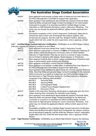

|       | 4.4.6.7 | Each applicant must provide a written letter of reference from their Mentor to<br>the ASCA Management Committee to support their application.                                                                                                                                                                                |
|-------|---------|------------------------------------------------------------------------------------------------------------------------------------------------------------------------------------------------------------------------------------------------------------------------------------------------------------------------------|
|       | 4.4.6.8 | Each applicant must satisfactorily demonstrate the required Technical Skills,<br>Teaching Ability and general Stage Combat knowledge for the Intermediate                                                                                                                                                                    |
|       |         | Curriculum to a panel of no less than two ASCA Certified Stage Combat<br>Instructors or Fight Directors during the 'Level 2 Instructors Workshop'. This<br>panel may not include the applicant's Mentor, without written approval from                                                                                       |
|       |         | the MC.                                                                                                                                                                                                                                                                                                                      |
|       | 4.4.6.9 | Successful completion of the 'Level 2 Instructors Certification' allows the in-<br>dividual the right to teach and choreograph the weapon systems, and<br>all items/found weapons, that fall under the 'Weapon Family's' description<br>taught within this Unit, under the strict supervision, and or approval, of their     |
|       |         | Mentor.                                                                                                                                                                                                                                                                                                                      |
| 4.4.7 |         | Certified Stage Combat Instructor Certification- Certification as an ASCA Stage Combat<br>Instructor requires the following conditions to be fulfilled:                                                                                                                                                                      |
|       | 4.4.7.1 | Each applicant must have passed their 'Level 2 Instructors Course'.                                                                                                                                                                                                                                                          |
|       | 4.4.7.2 | Each applicant must amass a minimum of 25hrs of Probationary Teaching of<br>each weapon within the Advanced Curriculum under an ASCA certified<br>Instructor or Fight Director. This may be done in a manner of ways including<br>but not limited to assisting with classes, Masterclasses, or Workshops.                    |
|       | 4.4.7.3 | Each applicant must be able to prove a deep understanding of theatrical tech-                                                                                                                                                                                                                                                |
|       |         | nique in performance, script analysis and directing.                                                                                                                                                                                                                                                                         |
|       | 4.4.7.4 | Each applicant must hold a current First Aid Certificate.                                                                                                                                                                                                                                                                    |
|       | 4.4.7.5 | Each applicant must provide a written letter of reference from their Mentor to<br>the ASCA Management Committee to support their application.                                                                                                                                                                                |
|       | 4.4.7.6 | Each applicant must satisfactorily demonstrate the minimal required Technical<br>Skills, Teaching Ability and general Stage Combat knowledge for the complete<br>ASCA Curriculum to a panel of no less than two ASCA Certified Stage Com-<br>bat Instructors or Fight Directors during the 'Certified Instructors Workshop', |
|       |         | comprised of the following skills sections:                                                                                                                                                                                                                                                                                  |
|       |         | 4.4.7.6.1<br><b>Technical Skills</b><br>4.4.7.6.2                                                                                                                                                                                                                                                                            |
|       |         | <b>Teaching Ability</b><br><b>Choreographic Ability</b><br>4.4.7.6.3                                                                                                                                                                                                                                                         |
|       |         | Limited Found Weapon Replacement<br>4.4.7.6.4                                                                                                                                                                                                                                                                                |
|       |         | 4.4.7.6.5<br><b>Discussion Panel.</b>                                                                                                                                                                                                                                                                                        |
|       | 4.4.7.7 | Details of the Instructors Workshop will be given to applicants upon the Com-<br>mittee receiving their nomination for Instructor Level training.                                                                                                                                                                            |
|       | 4.4.7.8 | Each applicant must satisfactorily demonstrate the required Technical Skills,                                                                                                                                                                                                                                                |
|       |         | Teaching Ability and general Stage Combat knowledge for the Advanced<br>Curriculum to a panel of no less than two ASCA Certified Stage Combat                                                                                                                                                                                |
|       |         | Instructors or Fight Directors during the 'Level 2 Instructors Workshop'. This<br>panel may not include the applicant's Mentor, without written approval from<br>the MC.                                                                                                                                                     |
|       | 4.4.7.9 | Successful completion of the 'Certified Stage Combat Instructors Certification'                                                                                                                                                                                                                                              |
|       |         | allows the individual the right to teach and choreograph the weapon systems,                                                                                                                                                                                                                                                 |
|       |         | and all items/found weapons, that fall under the 'Weapon Family's' description                                                                                                                                                                                                                                               |
|       |         | taught within this Unit, under the strict supervision, and or approval, of their<br>Mentor.                                                                                                                                                                                                                                  |
|       |         | $\cap$ autifiaatian<br>Certification as an ACCA Fight Director requires the following                                                                                                                                                                                                                                        |

*4.4.8* **Fight Director Certification**- Certification as an ASCA Fight Director requires the following

**[Back](#page-1-0) to Top** 

Page 23 of 34 Version: 5.0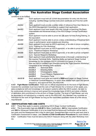

conditions to be fulfilled:

| itions to be fulfilled: |                                                                                                                                                                           |
|-------------------------|---------------------------------------------------------------------------------------------------------------------------------------------------------------------------|
| 4.4.8.1                 | Each applicant must hold all current documentation for entry into this level<br>including: Certified Stage Combat Instructors certificate and First Aid certifi-<br>cate. |
| 4.4.8.2                 | Each applicant must provide a written letter of reference from their Mentor to<br>the ASCA Management Committee to support their application.                             |
| 4.4.8.3                 | Each applicant must have taught (this may include co-teaching) the Basic,<br>Intermediate and Advanced levels of the ASCA Stage Combat Certification<br>system.           |
| 4.4.8.4                 | Each applicant must be able to prove two (2) years full time Acting training, or<br>the equivalent.                                                                       |
| 4.4.8.5                 | Each applicant must be able to prove a deep understanding of theatrical tech-<br>nique in performance, script analysis and directing.                                     |
| 4.4.8.6                 | Each applicant must pass an ASCA approved, or be able to prove competen-<br>cy in, 'Fighting for Film Workshop'.                                                          |
| 4.4.8.7                 | Each applicant must pass an ASCA approved, or be able to prove competen-<br>cy in, 'Theatrical Firearms Workshop'.                                                        |
| 4.4.8.8                 | Each applicant must pass an ASCA approved, or be able to prove competen-<br>cy in, 'Special Weapons Workshop.'                                                            |
| 4.4.8.9                 | Each applicant must satisfactorily demonstrate a thorough understanding of<br>the required Technical Skills, Teaching Ability and general Stage Combat                    |
|                         | knowledge for the complete ASCA Curriculum to a panel of no less                                                                                                          |
|                         | than two ASCA Certified Fight Directors during the 'Fight Directors Workshop',                                                                                            |
|                         | comprised of the following skills sections:<br>4.4.8.9.1<br><b>Technical Skills</b>                                                                                       |
|                         | 4.4.8.9.2<br><b>Directing Ability</b>                                                                                                                                     |
|                         | <b>Choreographic Ability</b><br>4.4.8.9.3                                                                                                                                 |
|                         | Found Weapon Replacement<br>4.4.8.9.4                                                                                                                                     |
|                         | 4.4.8.9.5<br><b>Discussion Panel</b>                                                                                                                                      |
| 4.4.8.10                | Each applicant must write and submit a 5000-word paper on Stage Combat<br>or Historical Combat/Weaponry, or some other related topic upon the special                     |
|                         | request to, and approval from, the ASCA MC.                                                                                                                               |

*4.4.9* **Fight Master Certification**- There are no official requirements for the level of Fight Master, however the candidate must have held the rank of Fight Director for a minimum of ten years, possess exceptional skill and knowledge in all weapon systems within the ASCA system, be seen to be continuously striving to improve and spread the knowledge base of ASCA and show a lifetime of dedication and commitment to the art-form of Stage Combat. The level of Fight Master can only be appointed to an individual by a majority vote by the ASCA MC. Any Member may nominate an individual for the rank of Fight Master as long as the nominated candidate meets all of the above requirements.

# 4.5 CERTIFICATION FEES AND COSTS

*4.5.1* These fees apply to anyone undertaking ASCA Stage Combat Certification.

*4.5.2* The Examination fees are *\$30.00* for Basic Certification, *\$40* for Intermediate Certification and *\$50* for Advanced Certification (it is to be noted that the Advanced Certification will be held in two parts and the Assessment fee is due for each part). Assessment fees must be paid each time a Certification Assessment is taken. (see *Section 4.6 Re-Certification Procedures* for more details.) *4.5.3* Certification Fees must be sent to the ASCA Treasurer along with the other Workshop monies.

[Back](#page-1-0) to Top Page 24 of 34 Version: 5.0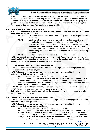<span id="page-24-0"></span>

*4.5.4* The official Assessor for any Certification Workshop will be appointed by the MC prior to commencement of the workshop and they will be paid *\$20* per participant for a Basic Certification Assessment, *\$25* per participant for an Intermediate Certification Assessment and *\$30* per participant for an Advanced Certification Assessment by the ASCA Treasurer once they have supplied a Tax Invoice for their services. The remaining funds go to ASCA.

# 4.6 RE-CERTIFICATION PROCEDURES

4.6.1 Any student that fails the ASCA Certification procedures for any level may re-sit an Assessment under the following conditions:

- *4.6.1.1* Re-Assessment must be taken within two *(2)* months of the original Assess- ment date.
- **4.6.1.2** Students sitting Re-Assessment may work with another student, who has passed or failed, as a partner or may be partnered by an ASCA Assistant Instructor if so requested one week prior to the re-assessment date. It is the student's responsibility to ensure they have a partner for the Re-Assessment one-way or the other. If the chosen partner has passed the assessment and is just assisting the student who is re-certifying they will not be required to pay any fees.

*4.6.1.3* Re-Assessment will incur costs of *\$30.00* Examination Fee.

*4.6.2* All students will have the opportunity to attempt two *(2)* Assessment Re-sits within a twomonth period. If the student has still not managed to receive the required proficiency for certification at that time they will be required to re-sit an entire course again.

### 4.7 COMBATANT CERTIFICATION EXPIRATION

4.7.1 All Combatant certification levels within the ASCA Stage Combat Training System hold an expiration time limit of three *(3)* years.

*4.7.2* Within that three-year period they will need to have completed one of the following options in order to retain their current level of certification:

*4.7.2.1* Exceeded their current level of certification to the next level

*4.7.2.1* Complete thirty *(30)* hours of ASCA approved professional development with in a 12-month period. These hours must be documented and signed by the relevant instructor and submitted to the MC. The MC reserves the right to accept or reject submitted documentation without explanation. MC decision is final.

*4.7.3* All Members should contact the MC before beginning any training to confirm that it meets ASCA standards to qualify as Approved Professional Development.

Failure to complete these requirements will see the Members' certification, at any and all levels, and all rights and privileges, rescinded

# 4.8 INSTRUCTOR CERTIFICATION EXPIRATION

*4.8.1* All Instructor certification levels within the ASCA Stage Combat Training System hold an expiration time limit of three *(3)* years.

*4.8.2* Within that three-year period they will need to have completed one of the following options in order to retain their current level of certification:

*4.8.2.1* Exceeded their current level of certification to the next level

*4.8.2.1* Complete thirty *(30)* hours of ASCA approved professional development with in a *12-month* period by either: teaching, choreographing, researching or studying relative information, or training with an ASCA approved Instructor. These hours must be documented and signed by the relevant instructor and submitted to the MC. The MC reserves the right to accept or reject submitted documentation without explanation. MC decision is final.

[Back](#page-1-0) to Top

The Australian Stage Combat Association, Level 1, 25 Unwins Bridge Rd, Sydenham, 2044 Incorportated in NSW in October 2010. ICN 9893998 www.australianstagecombat.org.au

Page 25 of 34 Version: 5.0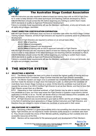<span id="page-25-0"></span>

*4.8.3* All Instructors are also required to attend at least two training days with an ASCA Fight Director in order to keep abreast of the latest techniques and teaching methods developed by ASCA. *4.8.4* All Members should contact the MC before beginning any training to confirm that it meets ASCA standards to qualify as Approved Professional Development.

Failure to complete these requirements will see the Members' certification, at any and all levels, and all rights and privileges, rescinded.

### 4.9 FIGHT DIRECTOR CERTIFICATION EXPIRATION

*4.9.1* All Fight Director certification does not have an expiration date within the ASCA Stage Combat Training System. However, all ASCA Fight Directors are required to constantly strive for professional development.

*4.9.2* All ASCA Fight Directors are required to achieve on an annual basis either:

*4.9.2.1 30hr* of teaching

*4.9.2.2 10hrs* of choreography

*4.9.2.3 20hrs* of research and development

*4.9.2.4 20hrs* of training with an ASCA approved Instructor or Fight Director

4.9.3 All Fight Directors are also required to attend at least two training days with an ASCA Fight Director in order to keep abreast of the latest techniques and teaching methods developed by ASCA. *4.9.4* All Members should contact the MC before beginning any training to confirm that it meets ASCA standards to qualify as Approved Professional Development.

Failure to complete these requirements will see the Members' certification, at any and all levels, and all rights and privileges, rescinded

# 5 THE MENTOR SYSTEM

### 5.1 SELECTING A MENTOR

**5.1.1** The Mentor System has been put in place to ensure the highest quality of training and support for Advanced Actor Combatant, Stage Combat Instructor and Fight Director candidates. *5.1.2* The Mentor System can begin once a candidate has completed their Advanced Certification and then made the decision to begin down the Instructor's path, by which point the candidate will most likely have chosen Stage Combat as a career. At this time the candidate must look for and request the services of an ASCA Certified Fight Director to act as their Mentor, and then to have that Fight Director accept them as a Mentee.

**5.1.3** Depending on their individual workload, a Fight Director may be able to mentor more than one candidate at a time, but if this need arises the Fight Director in question must submit a formal application to the MC to do so. The MC will decide what is in the best interest of the candidate, and the Fight Director, at that time and the MC's decision will be final.

*5.1.4* All Fight Directors are recommended to give back to ASCA, and the art of Stage Combat, in the form of mentoring future generations of Stage Combat Instructors and Fight Directors, and therefore they are obliged to mentor at least one candidate at some point in their career.

# 5.2 OBLIGATIONS OF A MENTOR

*5.2.1* Becoming a Mentor is a great responsibility and is not something that should be entered into lightly. Fight Directors are not required to mentor someone purely because a candidate asks them to. They should consider the choice of their Mentee carefully, weighing up their available time and accessible resources at the time.

**5.2.2** Mentors will be responsible for the personal growth and development of their Mentee's

[Back](#page-1-0) to Top

The Australian Stage Combat Association, Level 1, 25 Unwins Bridge Rd, Sydenham, 2044 Incorportated in NSW in October 2010. ICN 9893998 www.australianstagecombat.org.au

Page 26 of 34 Version: 5.0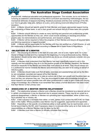<span id="page-26-0"></span>

physical skill, intellectual education and professional expansion. This includes, but is not limited to, nurturing an extensive understanding of the ASCA curriculum and teaching methodologies, the biomechanical attributes of weapons handling, theatrical processes and the inner workings of the AEI, (i.e. how to get jobs, keep jobs, behave on a job,), and a strong moral and ethical level of Professionalism.

*5.2.3* A Mentor should set specific goals for their Mentee; and supply appropriate support during the undertaking of these tasks, to aid in their growth and ensure that all of these tasks are completed.

*5.2.4* A Mentor should attempt to create as many learning and personal and professional growth opportunities for the Mentee as they can, which could include assisting on teaching and choreographic jobs, live demonstrations and performances, and research projects.

*5.2.5* A Mentor will be required to follow the progress of their Mentee and ensure all required tasks and learning experience is logged/recorded.

*5.2.6* A Mentor will be responsible for the Mentee until they are certified as a Fight Director, or until the relationship is officially dissolved according to *Clause 5.4* of these Rules & Regulations.

# 5.3 OBLIGATIONS OF A MENTEE

*5.3.1* The choosing of a Mentor is the start of a new path, and at a new, higher level, for a practitioner of Stage Combat and thus represents the beginning of a long professional journey. Making this decision should not be taken lightly and before you do so you should seriously consider why you want to do this.

*5.3.2* A Mentee must understand that their Mentor has been specifically trained to act in this capacity and that everything they do is for the positive growth of the Mentee; therefore, the Mentee should be respectful to the Mentor and follow their instructions at all times. They should always act in a professional manner towards the Mentor and whenever they are seen to be acting on behalf of ASCA in public.

*5.3.3* A Mentee should make sure that all tasks, exercises and assistantships set out by the Mentor are completed, recorded and signed off by their Mentor.

*5.3.4* A Mentee should endeavour to take an active role in their own growth and therefore learn as much as they can wherever they can. They are encouraged to seek extra knowledge through personal research and where possible train with other professionals in order to gain a wide and varying range of knowledge. But a Mentee must remember that unless a formal dissolution has been made that their Mentor is their primary tutor.

# 5.4 DISSOLVING OF A MENTOR/ MENTEE RELATIONSHIP

**5.4.1** The relationship between a Mentor and a Mentee should be considered as a special one but in certain circumstances it may be dissolved due to several reasons. These may be as varied as a personal disagreement, a Mentor or Mentee not upholding their responsibilities, either of them moving to another city or country, etc.

**5.4.2** If this outcome is inevitable then either, or both, parties must contact the ASCA MC for mediation in this matter. Where possible a new Mentor may be suggested, approached and appointed. *5.4.3* Depending on the specific circumstances either or both parties may be reprimanded, and a formal record kept by the MC, and if necessary steps to re-educate either party as to their duties and responsibilities as a Mentor/ Mentee may be taken by the MC.

*5.4.4* A Mentee must have a Mentor to officially complete their training.

The Australian Stage Combat Association, Level 1, 25 Unwins Bridge Rd, Sydenham, 2044 Incorportated in NSW in October 2010. ICN 9893998 www.australianstagecombat.org.au

[Back](#page-1-0) to Top Page 27 of 34 Version: 5.0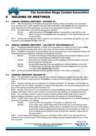<span id="page-27-0"></span>

# 6.1 ANNUAL GENERAL MEETINGS – HOLDING OF

**6.1.1** With the exception of the first annual general meeting of the association, the association must, at least once in each calendar year and within the period of *6 months* after the expiration of each financial year of the association, convene an annual general meeting of its members.

- **6.1.2** The association must hold its first general meeting:
	- **6.1.2.1** within the period of **18 months** after its incorporation under the Act, and **6.1.2.2** within the period of **6 months** after the expiration of the first financial vea
		- within the period of 6 months after the expiration of the first financial year of the association.

*6.1.3* Clauses *(1)* and *(2)* have effect subject to any extension or permission granted by the Commissioner under *Section 37 (2b)* of the Act.

# 6.2 ANNUAL GENERAL MEETINGS – CALLING OF AND BUSINESS AT

*6.2.1* The Annual General Meeting, or AGM, of the association is, subject to the Act and to *Rule 23*, to be convened on such date and at such place and time as the committee thinks fit.

*6.2.2* In addition to any other business which may be transacted at an annual general meeting, the business of an annual general meeting is to include the following:

- *6.2.2.1* to confirm the minutes of the last proceeding Annual General Meeting and of any Special General Meeting held since that meeting.
- **6.2.2.2** to receive from the MC reports on the activities of the association during the last proceeding financial year.
- **6.2.2.3** to elect office-bearers of the association and ordinary members of the MC.<br>**6.2.2.4** To receive and consider the association's financial statements for the previ-
	- To receive and consider the association's financial statements for the previ- ous year, under *Section 48* of the Act.
- *6.2.3* An Annual General Meeting must be specified as such in the notice convening it.

# 6.3 GENERAL MEETINGS -HOLDING OF

*6.3.1* The association's general meetings will be held at a frequency agreed to by the MC, with a minimum of *3* times in each period of *12 months* at a place and time that the committee will determine.

*6.3.2* General meetings are only attended by members of the MC. An exception can be made for any member who has made a requisition to present New Business, who may be present for the section of the meeting presenting New Business only.

*6.3.3* No item of business is to be transacted at a General Meeting unless a quorum of members entitled under these rules to vote is present during the time the meeting is considering that item.

*6.3.4* Four members present in person (being members entitled under these rules to vote at a general meeting) constitute a quorum for the transaction of business of a General Meeting.

*6.3.5* If within half an hour after the appointed time for the commencement of a General Meeting a quorum is not present, the meeting:

*6.3.5.1* if convened on the requisition of members, is dissolved, and

*6.3.5.2* in any other case, stands adjourned to the same day in the following week at the same time (unless another place is specified at the time of the adjourn- ment by the person presiding at the meeting or communicated by written no- tice to members given before the day to which the meeting is adjourned) at the same place.

**6.3.6** If at the adjourned meeting a quorum is not present within half an hour after the time appointed for the commencement of the meeting, the members present (being at least *3*) is to constitute a quorum.

[Back](#page-1-0) to Top

The Australian Stage Combat Association, Level 1, 25 Unwins Bridge Rd, Sydenham, 2044 Incorportated in NSW in October 2010. ICN 9893998 www.australianstagecombat.org.au

Page 28 of 34 Version: 5.0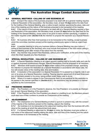<span id="page-28-0"></span>

# 6.4 GENERAL MEETINGS –CALLING OF AND BUSINESS AT

**6.4.1** Except if the nature of the business proposed to be dealt with at a general meeting requires a Special Resolution of the association, the Secretary must, at least *14 days* before the date fixed for the holding of the General Meeting, give a notice to each member specifying the place, date and time of the meeting and the nature of the business proposed to be transacted at the meeting.

*6.4.2* If the nature of the business proposed to be dealt with at a General Meeting requires a Special Resolution of the association, the Secretary must, at least *21 days* before the date fixed for the holding of the General Meeting, cause notice to be given to each member specifying, in addition to the matter required under (*Section 6.9*) the intention to propose the resolution as a Special Resolution.

*6.4.3* No business other than that business is to be transacted at the meeting, except business which the committee members present at the meeting unanimously agree to treat as urgent business.

*6.4.4* A member desiring to bring any business before a General Meeting may give notice in writing of that business to the Secretary who must include that business in the next notice calling a General Meeting given after receipt of the notice from the member.

*6.4.5* Any member may present New Business, without prior notification, at the end of the meeting when the Chair requests any New Business.

### 6.5 SPECIAL RESOLUTION – CALLING OF AND BUSINESS AT

*6.5.1* A Special Resolution Meeting is an urgent general meeting held to formally table and vote for or against proposed constitutional changes. Special Resolutions must be proposed to all members. *6.5.2* Members shall receive at least *21 days* written notice of the proposed change, specifying the intention to propose the resolution as a Special Resolution in accordance with these rules. Notice will include notice of the meeting date, time and location.

*6.5.3* A resolution of the association is a Special Resolution if it is passed by a majority vote in person or by proxy at a Special Resolution meeting. Passing requires agreement of at least three-quarters of members present or by proxy, being entitled under these rules to do so.

*6.5.4* Where it is made to appear to the Commissioner that it is not practical for the resolution to be passed in the manner specified in (*Section 6.9.1*), the resolutions may be passed in a manner specified by the Commissioner.

### 6.6 PRESIDING MEMBER

*6.6.1* The President, or in the President's absence, the Vice-President, is to preside as Chairperson at each General Meeting of the association.

*6.6.2* If the President and the Vice-President are absent or unwilling to act, the Members present must elect one of their numbers to preside as Chairperson at the meeting.

### 6.7 ADJOURNMENT

*6.7.1* The Chairperson of a General Meeting at which a quorum is present may, with the consent of the majority of the members present at the meeting, adjourn the meeting.

*6.7.2* No business is to be transacted at the adjourned meeting other than the business left unfinished at the meeting at which the adjournment took place.

*6.7.3* If a General Meeting is adjourned for *14 days* or more, the Secretary must give written or oral notice of the adjourned meeting stating the place, date and time of the meeting and the nature of the business to be transacted at the meeting.

[Back](#page-1-0) to Top Page 29 of 34 Version: 5.0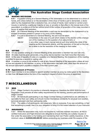<span id="page-29-0"></span>

# 6.8 MAKING DECISIONS

*6.8.1* A question arising at a General Meeting of the association is to be determined on a show of hands, and unless before or on the declaration of the show of hands a poll is demanded, a declaration by the chairperson that a resolution has, on a show of hands, been carried or carried unanimously or carried by a particular majority or loss, or an entry to that effect in the minute book of the association, is evidence of the fact without proof of the number of proportion of the votes recorded in favour or against that resolution.

*6.8.2* At a General Meeting of the association, a poll may be demanded by the chairperson or by at least *3* members present in person or by proxy at the meeting.

- *6.8.3* If a poll is demanded at a General Meeting, the poll must be taken:
	- *6.8.3.1* immediately in the case of a poll which relates to the election of the chairper- son of the meeting or to the question of an adjournment, or
	- *6.8.3.2* in any other case, in such manner and at such time before the close of the meeting as the chairperson directs, and the resolution of the poll on the mat- ter is taken to be the resolution of the meeting on that matter.

# 6.9 VOTING

**6.9.1** On any question arising at a General Meeting of the association a member has one vote only.

*6.9.2* All votes must be given personally, or by proxy, but no member may hold more than *5* proxies.

*6.9.3* In the case of equality of votes on a question at a General Meeting, the chairperson of the meeting is entitled to exercise a second or casting vote.

*6.9.4* A member or proxy is not entitled to vote at any General Meeting of the association unless all money due and payable by the member, or proxy, to the association has been paid, other than the amount of the annual subscription payable in respect of the then current year.

# 6.10 Appointment of Proxies

*6.10.1* Each member is to be entitled to appoint another member as proxy by notice given to the Secretary no later than *24 hours* before the time of the meeting in respect of which the proxy is appointed.

# 7 MISCELLANEOUS

# 7.1 WHS

**7.1.1** Stage Combat in its practice is inherently dangerous, therefore the NSW WHS Act and Regulation must precede all other safety requirements for the training, practice and performance of Stage Combat.

**7.1.2** All individuals participating in any Stage Combat training or performance are ultimately responsible for their own safety and should monitor themselves constantly for physical over-exertion, technical precision and their partnership skills.

*7.1.3* The safety of all participants, and observers, falls on everyone, if you see something, or feel that something is unsafe, then it is your obligation to bring it to the instant attention of your Instructor.

# 7.2 INSURANCE

**7.2.1** Whilst the association may, but is not required to, hold and maintain insurance, all ASCA certified Instructors and Fight Directors are obligated to ensure that they are suitably insured, either under the association or by holding and maintaining their own Public Liability Insurance, to the minimum value of *AUD\$20,000,000.00*, before conducting any business under the auspice of the

[Back](#page-1-0) to Top

The Australian Stage Combat Association, Level 1, 25 Unwins Bridge Rd, Sydenham, 2044 Incorportated in NSW in October 2010. ICN 9893998 www.australianstagecombat.org.au

Page 30 of 34 Version: 5.0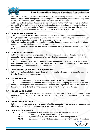<span id="page-30-0"></span>

association. No ASCA Instructor or Fight Director is to undertake any business under the auspice of the association without appropriate insurance in place. Failure to comply with this clause may result in immediate termination of membership and expulsion from the association.

**7.2.2** All Instructors, Fight Directors and organisations using the ASCA system must create their own Liability Waiver Form and have every participant complete and sign a copy before beginning any Stage Combat related activity. These documents must be kept on record for a minimum of seven years, and if requested must be presented to the ASCA MC within two *(2)* days.

### 7.3 FUNDS: APPROPRIATION

**7.3.1** The funds of the association are to be derived from Application and annual Membership Fees, Assessment Fees, donations and, subject to any resolution passed by the association in General Meeting, such other sources as the committee determines.

*7.3.2* All monies received by the association must be deposited as soon as practical and without deduction to the credit of the association's bank account.

*7.3.3* The association must, as soon as practical after receiving any money, issue an appropriate receipt.

### 7.4 FUNDS: MANAGEMENT

7.4.1 Subject to any resolution passed by the association in General Meeting, the funds of the association are to be used in pursuance of the objects of the association in such a manner as the committee determines.

*7.4.2* All cheques, drafts, bills of exchange, promissory notes and other negotiable instruments must be signed by any *2* members of the committee, or employees of the association, being members or employees authorised to do so by the committee.

# 7.5 ALTERATION OF RULES AND OBJECTIVES

*7.5.1* The statement of objects and these rules may be altered, rescinded or added to, only by a Special Resolution of the association.

### 7.6 COMMON SEAL

**7.6.1** The common seal of the association must be kept in the custody of the Public Officer. **7.6.2** The common seal must not be affixed to any instrument except by the authority of the committee and affixing of the common seal must be attested by the signatures either of *2* members of the committee or of *1* member of the committee and of the Public Officer or Secretary.

# 7.7 CUSTODY OF BOOKS

*7.7.1* Except as otherwise provided by these rules, the Public Officer/President must keep in his or her custody or under his or her control all records, books and other documents relating to the association.

### 7.8 INSPECTION OF BOOKS

**7.8.1** The records, books and other documents of the association must be open to inspection, free of charge, by a member of the association at any reasonable hour.

### 7.9 SERVICE OF NOTICES

- **7.9.1** For the purposes of these rules, a notice may be served on or given to a person:
	- **7.9.1.1** by delivering it to the person personally, or
	- **7.9.1.2** by sending it by pre-paid post to the address of the person, or
	- **7.9.1.3** by sending it by facsimile transmission or some other form of electronic trans-

[Back](#page-1-0) to Top

Page 31 of 34 Version: 5.0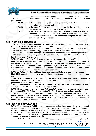<span id="page-31-0"></span>

 mission to an address specified by the person for giving or serving the notice. For the purpose of these rules, a notice is taken, unless the contrary is proved, to have been given or served:

| 7.9.2.1 | in the case of a notice given or served personally, on the date on which it is |
|---------|--------------------------------------------------------------------------------|
|         | received by the addressee, and                                                 |

**7.9.2.2** in the case of a notice sent by pre-paid post, on the date when it would have been delivered in the ordinary course of post, and

*7.9.2.3* in the case of a notice sent by facsimile transmission or some other form of electronic transmission, on the date it was sent, or if the machine from which the transmission was sent produces a report indicating that the notice was sent on a later date, on that date.

# 7.10 FIRST AID REGULATIONS

*7.10.1* All ASCA Instructors and Fight Directors are required to have First Aid training and certification in order to teach and choreograph Stage Combat.

*7.10.2* This First Aid Certificate must be maintained at all times and should be equivalent to the Australian government standard: (*Apply First Aid-HLTFA311A*), at a minimum.

*7.10.3* All ASCA Instructors and Fight Directors are required to send a copy of their updated First Aid Certificate (once every *two years*) to the Secretary of ASCA to be held on record, as well as their Resuscitation Certificate every year.

*7.10.4* Maintaining First Aid Certification will be the sole responsibility of the ASCA Instructor or Fight Director. Any ASCA Instructor or Fight Director found to be working, teaching or choreographing Stage Combat, without current First Aid Certification will be dealt with under the terms and conditions of this document for Disciplining of Members (*Section 2.15*) until re-certification has been sufficiently proven. Continued work without First Aid Certification will result in instant dismissal from ASCA and removal of all Membership and Certification status.

**7.10.5** All ASCA Instructors and Fight Directors are required to have an appropriately maintained First Aid Kit present and attainable at any time that they are teaching or choreographing Stage Combat.

*7.10.6* When working at an external institution, the Instructor or Fight Director should investigate the First Aid policy of said workplace, location of First Aid Officer and First Aid Kit, and follow appropriate procedures as set out by said institute.

*7.10.7* This First Aid Kit should be equivalent to the Australian Red Cross Sports First Aid Kit, at a minimum, and must be kept complete, re-stocked, at all times.

*7.10.8* No person other than the First Aid Certified ASCA Instructor or Fight Director, or any institutions' personal First Aid Officer, should use the First Aid Kit without supervision or permission.

*7.10.9* An Incident/Accident report must be completed any time an individual requires medical attention. Serious injuries that require more than First Aid, this includes attention by a medical professional or hospitalisation must be reported to ASCA and a copy of the incident/accident report sent to the ASCA MC within two days of the incident.

# 7.11 CLOTHING REGULATIONS

**7.11.1** Your Instructor, or Fight Director, will set out appropriate dress codes prior to training based on training requirements. This may vary depending on the role or environment the Stage Combat activity is taking place in. Although when performing in a production your costume may be quite complex, bulky and restricting, or even revealing; while training, or undergoing general practice, you should always adhere to certain clothing guidelines. For general training, practice and Certification Assessment, clothing should be as follows:

**7.11.1.1** Always wear comfortable, loose-fitting clothing such as gym-wear, tracksuit

[Back](#page-1-0) to Top

The Australian Stage Combat Association, Level 1, 25 Unwins Bridge Rd, Sydenham, 2044 Incorportated in NSW in October 2010. ICN 9893998 www.australianstagecombat.org.au

Page 32 of 34 Version: 5.0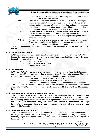<span id="page-32-0"></span>

 pants, T-shirts, etc. It is suggested that for training you do not wear jeans or button-up shirts or belts with buckles.

*7.11.1.2* Footwear is always recommended and in the case of any kind of weapon work it is compulsory. You should always wear some kind of sneakers or joggers, as this will provide a firm grip on most floor surfaces, and adequate protection were someone to step - or drop - something on your foot. Heavy boots and hard-soled shoes should not be worn in most cases.

*7.11.1.3* No bulky jewellery of any kind is to be worn during general training or prac- tice. All watches, necklaces, bracelets and dangling earrings must be re- moved before training begins. Small stud and sleeper earrings and smooth rings are acceptable.

**7.11.1.4** No clothing with offensive language or graphics is acceptable at any time. Overly revealing clothing, or clothing that may offend someone's religious or ethical views may also be considered inappropriate.

7.11.2 Any student that cannot conform to these clothing regulations should not be allowed to train that day.

# 7.12 MEMBERSHIP CARDS

*7.12.1* All Members of ASCA, regardless of membership rank, will receive an official ASCA Membership Card upon payment of their membership fees. These cards should be carried by the member at all times and will state the following:

*7.12.1.1* Members Name *7.12.1.2* Membership Expiration date *7.12.1.3* Certification Ranking

# 7.13 WEAPONRY

*7.13.1* Any ASCA Member wishing to purchase weapons of any kind for Stage Combat purposes may contact ASCA for advice on suppliers of approved Stage Combat worthy weapons. Members wishing to obtain weapons from an unknown source should consider the following:

- **7.13.1.1** Is the supplier a reputable weapons armourer?<br>**7.13.1.2** Are the Weapons suitable for actual contact cor-
	- Are the Weapons suitable for actual contact combat?

*7.13.1.3* Does the supplier have testimonials or quality reports on their weapons? **7.13.2** Any ASCA Member that discovers a new source for Theatrical Combat appropriate weapons should inform the MC so that this information can be made available to all members of the association.

# 7.14 BREACHING OF RULES AND REGULATIONS

**7.14.1** Any Member, regardless of rank or status, who is found to have breached the current Rules and Regulations of this Association will be accountable under *Section 2.15* of this document. After all the standing procedures have been followed in regard to this breach the decision of the MC of this Association will be final and binding. Any Member who continues to breach these Rules & Regulations after the committee's decision is made, may be subject to dismissal, heavy fines and or legal action by this Association.

# 7.15 ACCOUNTABILITY CLAUSE

**7.15.1** In the event of any incident or accident resulting in a performer or crew-member being injured (the definition of 'injury' would be anything that required medical attention), or personally offended by alleged 'Inappropriate Behaviour', the Association is required to hold a formal inquiry into the incident to:

> The Australian Stage Combat Association, Level 1, 25 Unwins Bridge Rd, Sydenham, 2044 Incorportated in NSW in October 2010. ICN 9893998 www.australianstagecombat.org.au

[Back](#page-1-0) to Top Page 33 of 34 Version: 5.0